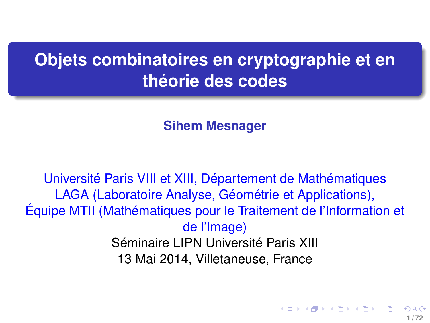# **Objets combinatoires en cryptographie et en théorie des codes**

<span id="page-0-0"></span>**Sihem Mesnager**

Université Paris VIII et XIII, Département de Mathématiques LAGA (Laboratoire Analyse, Géométrie et Applications), Équipe MTII (Mathématiques pour le Traitement de l'Information et de l'Image) Séminaire LIPN Université Paris XIII 13 Mai 2014, Villetaneuse, France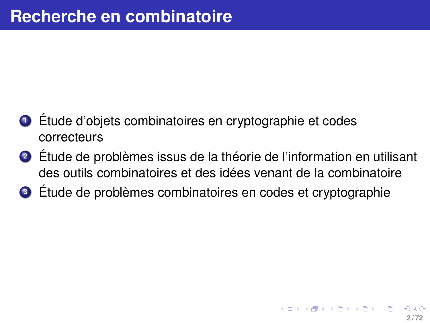- **<sup>1</sup>** Étude d'objets combinatoires en cryptographie et codes correcteurs
- **<sup>2</sup>** Étude de problèmes issus de la théorie de l'information en utilisant des outils combinatoires et des idées venant de la combinatoire
- **<sup>3</sup>** Étude de problèmes combinatoires en codes et cryptographie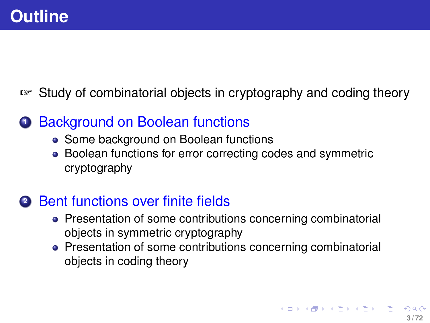# ☞ Study of combinatorial objects in cryptography and coding theory

# **1** Background on Boolean functions

- Some background on Boolean functions
- Boolean functions for error correcting codes and symmetric cryptography

# **<sup>2</sup>** Bent functions over finite fields

- Presentation of some contributions concerning combinatorial objects in symmetric cryptography
- Presentation of some contributions concerning combinatorial objects in coding theory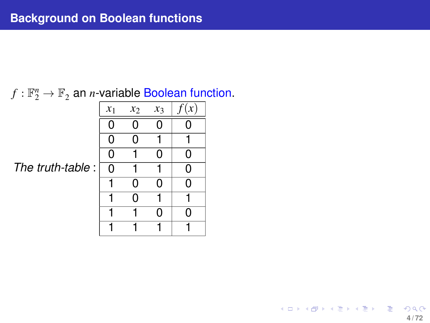# $f: \mathbb{F}_2^n \to \mathbb{F}_2$  an *n*-variable Boolean function.

*The truth-table* :

| $x_1$          | $x_2$ | $x_3$ | f(x) |
|----------------|-------|-------|------|
| $\overline{0}$ | 0     | 0     | 0    |
| 0              | 0     |       |      |
| $\overline{0}$ |       | 0     | 0    |
| 0              |       |       | 0    |
| 1              | 0     | 0     | 0    |
|                | 0     |       |      |
|                |       | 0     | 0    |
|                |       |       |      |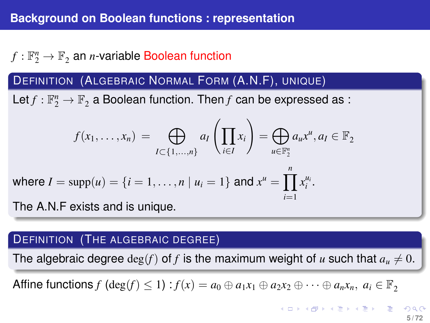# $f:\mathbb{F}_2^n\rightarrow\mathbb{F}_2$  an *n*-variable Boolean function

### DEFINITION (ALGEBRAIC NORMAL FORM (A.N.F), UNIQUE)

Let  $f: \mathbb{F}_2^n \to \mathbb{F}_2$  a Boolean function. Then  $f$  can be expressed as :

$$
f(x_1, \dots, x_n) = \bigoplus_{I \subset \{1, \dots, n\}} a_I \left( \prod_{i \in I} x_i \right) = \bigoplus_{u \in \mathbb{F}_2^n} a_u x^u, a_I \in \mathbb{F}_2
$$
  
where  $I = \text{supp}(u) = \{i = 1, \dots, n \mid u_i = 1\}$  and  $x^u = \prod_{i=1}^n x_i^{u_i}$ .  
The A N.F exists and is unique.

The A.N.F exists and is unique.

#### DEFINITION (THE ALGEBRAIC DEGREE)

The algebraic degree  $\deg(f)$  of f is the maximum weight of u such that  $a<sub>u</sub> \neq 0$ .

Affine functions  $f$  (deg( $f$ )  $\leq 1$ ) :  $f(x) = a_0 \oplus a_1x_1 \oplus a_2x_2 \oplus \cdots \oplus a_nx_n$ ,  $a_i \in \mathbb{F}_2$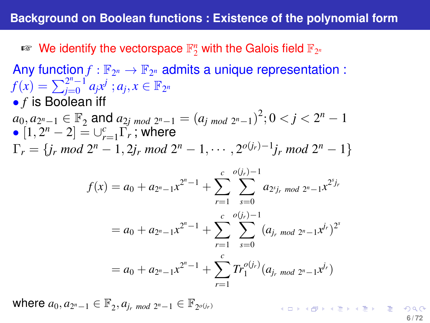$\mathbb{F}_2^n$  We identify the vectorspace  $\mathbb{F}_2^n$  with the Galois field  $\mathbb{F}_{2^n}$ 

Any function  $f : \mathbb{F}_{2^n} \to \mathbb{F}_{2^n}$  admits a unique representation :  $f(x) = \sum_{i=0}^{2^n-1}$  $\int_{j=0}^{2^n-1} a_j x^j \; ; a_j, x \in \mathbb{F}_{2^n}$ • *f* is Boolean iff  $a_0, a_{2^n-1} \in \mathbb{F}_2$  and  $a_{2j \mod 2^n-1} = (a_{j \mod 2^n-1})^2; 0 < j < 2^n-1$  $\bullet$   $[1, 2^n - 2] = \cup_{r=1}^c \Gamma_r^r$ ; where  $\Gamma_r = \{j_r \mod 2^n - 1, 2j_r \mod 2^n - 1, \cdots, 2^{o(j_r)-1}j_r \mod 2^n - 1\}$  $f(x) = a_0 + a_{2^n-1}x^{2^n-1} + \sum_c^n$ *r*=1 *o*(*j<sub>r</sub>*)−1<br> *Y s*=0  $a_{2^{s}j_{r}}$  *mod*  $2^{n}-1$ *x*<sup>2*sj<sub>r</sub>*</sub></sup>  $= a_0 + a_{2^n-1}x^{2^n-1} + \sum_{i=1}^c \sum_{j=1}^{o(j_r)-1} (a_{j_r \mod 2^n-1}x^{j_r})^{2^n}$ *r*=1  $c \quad o(j_r)-1$ *s*=0  $= a_0 + a_{2^n-1}x^{2^n-1} + \sum_{r=0}^{c} Tr_1^{o(j_r)}(a_{j_r \mod 2^n-1}x^{j_r})$ *r*=1

 $\mathsf{where} \ a_0, a_{2^n-1} \in \mathbb{F}_2, a_{j_r \ mod \ 2^n-1} \in \mathbb{F}_{2^{o(j_r)}}$ **KORK@RKERKER E 1090 6 / 72**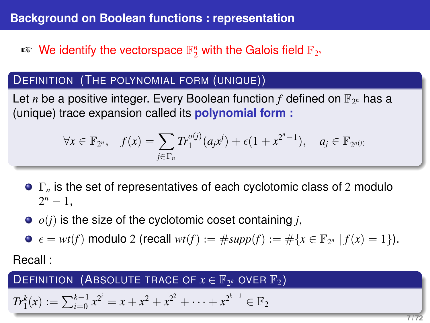# $\mathbb{F}_2^n$  We identify the vectorspace  $\mathbb{F}_2^n$  with the Galois field  $\mathbb{F}_{2^n}$

### **DEFINITION** (THE POLYNOMIAL FORM (UNIQUE))

Let *n* be a positive integer. Every Boolean function  $f$  defined on  $\mathbb{F}_{2^n}$  has a (unique) trace expansion called its **polynomial form :**

$$
\forall x \in \mathbb{F}_{2^n}, \quad f(x) = \sum_{j \in \Gamma_n} Tr_1^{o(j)}(a_j x^j) + \epsilon (1 + x^{2^n - 1}), \quad a_j \in \mathbb{F}_{2^{o(j)}}
$$

- Γ*<sup>n</sup>* is the set of representatives of each cyclotomic class of 2 modulo  $2^n - 1$ ,
- $\bullet$   $o(i)$  is the size of the cyclotomic coset containing *j*,
- $\epsilon = wt(f)$  modulo 2 (recall  $wt(f) := \#supp(f) := \# \{x \in \mathbb{F}_{2^n} | f(x) = 1\}$ ).

Recall :

 $\mathsf{DEFINITION}$  (Absolute trace of  $x \in \mathbb{F}_{2^k}$  over  $\mathbb{F}_2$ )

$$
Tr_1^k(x) := \sum_{i=0}^{k-1} x^{2^i} = x + x^2 + x^{2^2} + \dots + x^{2^{k-1}} \in \mathbb{F}_2
$$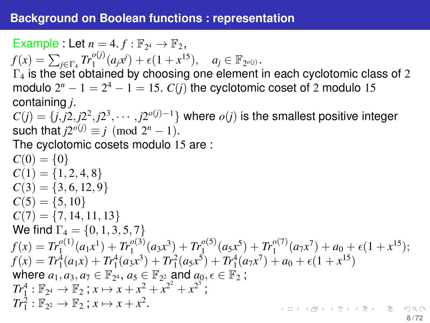Example : Let  $n = 4$ .  $f : \mathbb{F}_{2^4} \to \mathbb{F}_2$ ,  $f(x) = \sum_{j \in \Gamma_4} Tr_1^{o(j)}(a_j x^j) + \epsilon (1 + x^{15}), \quad a_j \in \mathbb{F}_{2^{o(j)}}.$  $\Gamma_4$  is the set obtained by choosing one element in each cyclotomic class of 2 modulo  $2^n - 1 = 2^4 - 1 = 15$ .  $C(j)$  the cyclotomic coset of 2 modulo 15 containing *j*.  $C(j) = \{j, j2, j2^2, j2^3, \cdots, j2^{o(j)-1}\}$  where  $o(j)$  is the smallest positive integer such that  $j2^{o(j)} \equiv j \pmod{2^n - 1}$ . The cyclotomic cosets modulo 15 are :  $C(0) = \{0\}$  $C(1) = \{1, 2, 4, 8\}$  $C(3) = \{3, 6, 12, 9\}$  $C(5) = \{5, 10\}$  $C(7) = \{7, 14, 11, 13\}$ We find  $\Gamma_4 = \{0, 1, 3, 5, 7\}$  $f(x) = Tr_1^{\rho(1)}(a_1x^1) + Tr_1^{\rho(3)}(a_3x^3) + Tr_1^{\rho(5)}(a_5x^5) + Tr_1^{\rho(7)}(a_7x^7) + a_0 + \epsilon(1+x^{15});$  $f(x) = Tr_1^4(a_1x) + Tr_1^4(a_3x^3) + Tr_1^2(a_5x^5) + Tr_1^4(a_7x^7) + a_0 + \epsilon(1 + x^{15})$ where  $a_1, a_3, a_7 \in \mathbb{F}_{2^4}$ ,  $a_5 \in \mathbb{F}_{2^2}$  and  $a_0, \epsilon \in \mathbb{F}_2$ ;  $Tr_1^4: \mathbb{F}_{2^4} \to \mathbb{F}_2$ ;  $x \mapsto x + x^2 + x^{2^2} + x^{2^3}$ ;  $Tr_1^2 : \mathbb{F}_{2^2} \to \mathbb{F}_2$ ;  $x \mapsto x + x^2$ . KO KKOKKEKKEK E 109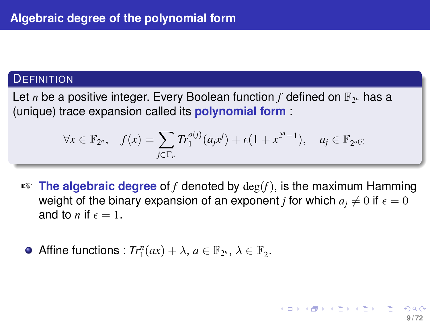#### **DEFINITION**

Let *n* be a positive integer. Every Boolean function  $f$  defined on  $\mathbb{F}_{2^n}$  has a (unique) trace expansion called its **polynomial form** :

$$
\forall x \in \mathbb{F}_{2^n}, \quad f(x) = \sum_{j \in \Gamma_n} Tr_1^{o(j)}(a_j x^j) + \epsilon (1 + x^{2^n - 1}), \quad a_j \in \mathbb{F}_{2^{o(j)}}
$$

☞ **The algebraic degree** of *f* denoted by deg(*f*), is the maximum Hamming weight of the binary expansion of an exponent *j* for which  $a_i \neq 0$  if  $\epsilon = 0$ and to *n* if  $\epsilon = 1$ .

**9 / 72**

イロト イ部 トイヨ トイヨ トー

Affine functions :  $Tr_1^n(ax) + \lambda$ ,  $a \in \mathbb{F}_{2^n}$ ,  $\lambda \in \mathbb{F}_{2^n}$ .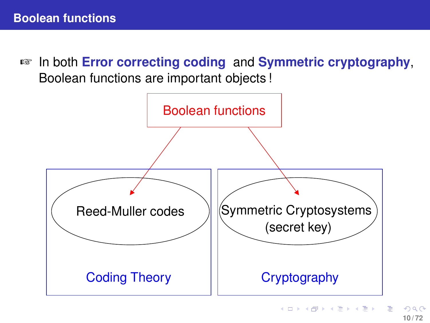☞ In both **Error correcting coding** and **Symmetric cryptography**, Boolean functions are important objects !

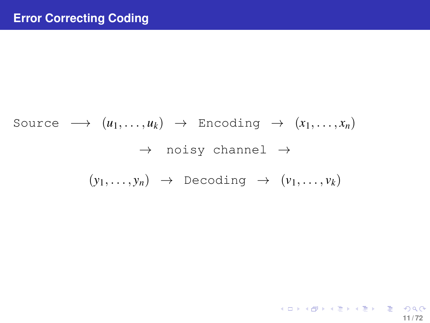Source 
$$
\longrightarrow
$$
  $(u_1, ..., u_k) \rightarrow$  Encoding  $\rightarrow$   $(x_1, ..., x_n)$   
 $\rightarrow$  noisy channel  $\rightarrow$   
 $(y_1, ..., y_n) \rightarrow$  Decoding  $\rightarrow$   $(v_1, ..., v_k)$ 

K ロ X x 伊 X x ミ X x モ X → ミ → つ Q Q → **11 / 72**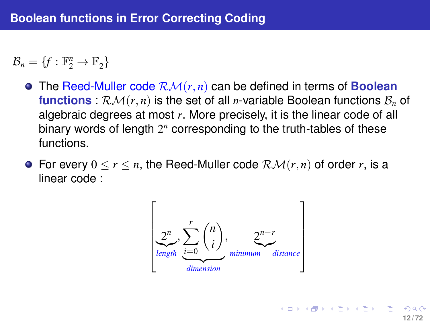$\mathcal{B}_n = \{f : \mathbb{F}_2^n \to \mathbb{F}_2\}$ 

- The Reed-Muller code RM(*r*, *n*) can be defined in terms of **Boolean functions** :  $\mathcal{RM}(r, n)$  is the set of all *n*-variable Boolean functions  $\mathcal{B}_n$  of algebraic degrees at most *r*. More precisely, it is the linear code of all binary words of length 2<sup>n</sup> corresponding to the truth-tables of these functions.
- **•** For every  $0 \le r \le n$ , the Reed-Muller code  $\mathcal{RM}(r, n)$  of order r, is a linear code :



**12 / 72**

メロトメ 御 トメ 君 トメ 君 トー 君一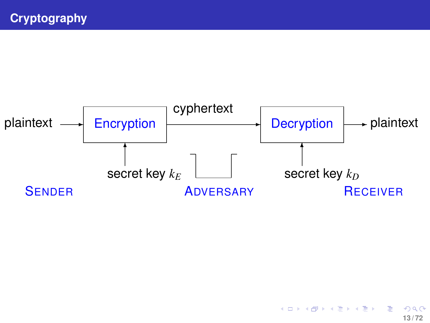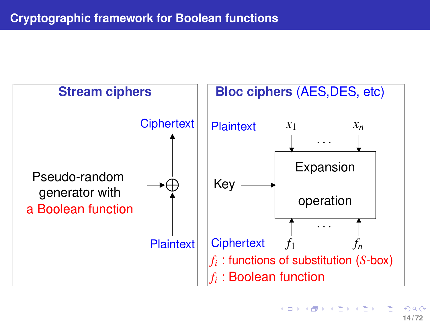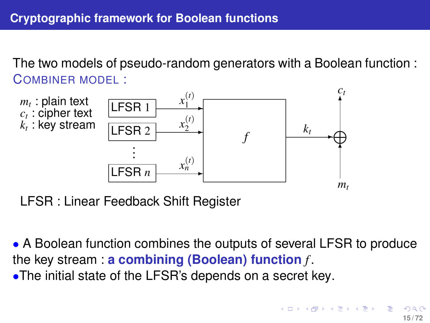The two models of pseudo-random generators with a Boolean function : COMBINER MODEL :



LFSR : Linear Feedback Shift Register

<span id="page-14-0"></span>• A Boolean function combines the outputs of several LFSR to produce the key stream : **a combining (Boolean) function** *f* . •The initial state of the LFSR's depends on a secret key.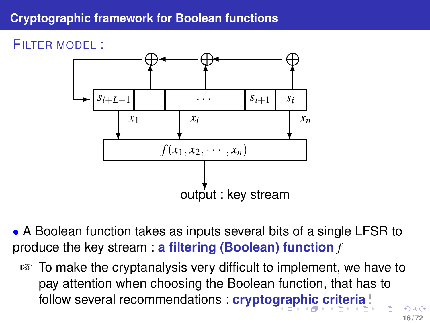## **Cryptographic framework for Boolean functions**

FILTER MODEL :



• A Boolean function takes as inputs several bits of a single LFSR to produce the key stream : **a filtering (Boolean) function** *f*

<span id="page-15-0"></span>☞ To make the cryptanalysis very difficult to implement, we have to pay attention when choosing the Boolean function, that has to follow several recommendations : **crypto[gra](#page-14-0)[p](#page-16-0)[h](#page-14-0)[ic](#page-15-0) [c](#page-16-0)[ri](#page-0-0)[ter](#page-71-0)[ia](#page-0-0)** [!](#page-71-0)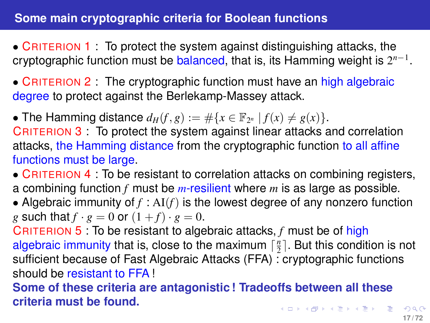• CRITERION 1 : To protect the system against distinguishing attacks, the cryptographic function must be balanced, that is, its Hamming weight is 2 *n*−1 .

• CRITERION 2: The cryptographic function must have an high algebraic degree to protect against the Berlekamp-Massey attack.

• The Hamming distance  $d_H(f, g) := \# \{ x \in \mathbb{F}_{2^n} \mid f(x) \neq g(x) \}.$ 

CRITERION 3 : To protect the system against linear attacks and correlation attacks, the Hamming distance from the cryptographic function to all affine functions must be large.

- CRITERION 4 : To be resistant to correlation attacks on combining registers, a combining function *f* must be *m*-resilient where *m* is as large as possible.
- Algebraic immunity of *f* : AI(*f*) is the lowest degree of any nonzero function *g* such that  $f \cdot g = 0$  or  $(1 + f) \cdot g = 0$ .

CRITERION 5 : To be resistant to algebraic attacks, *f* must be of high algebraic immunity that is, close to the maximum  $\lceil \frac{n}{2} \rceil$ . But this condition is not sufficient because of Fast Algebraic Attacks (FFA) : cryptographic functions should be resistant to FFA !

<span id="page-16-0"></span>**Some of these criteria are antagonistic ! Tradeoffs between all these criteria must be found.** K ロ ▶ K @ ▶ K 할 ▶ K 할 ▶ - 할 → 9 Q Q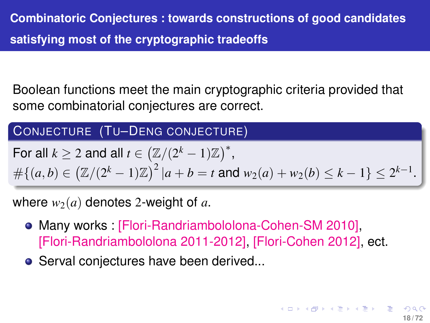Boolean functions meet the main cryptographic criteria provided that some combinatorial conjectures are correct.

## CONJECTURE (TU–DENG CONJECTURE)

For all 
$$
k \ge 2
$$
 and all  $t \in (\mathbb{Z}/(2^k - 1)\mathbb{Z})^*$ ,  
\n
$$
\#\{(a,b) \in (\mathbb{Z}/(2^k - 1)\mathbb{Z})^2 | a + b = t \text{ and } w_2(a) + w_2(b) \le k - 1\} \le 2^{k-1}.
$$

where  $w_2(a)$  denotes 2-weight of a.

- Many works : [Flori-Randriambololona-Cohen-SM 2010], [Flori-Randriambololona 2011-2012], [Flori-Cohen 2012], ect.
- **•** Serval conjectures have been derived...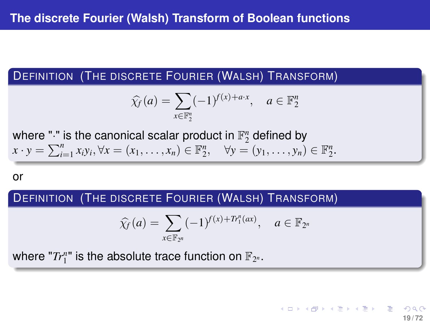### DEFINITION (THE DISCRETE FOURIER (WALSH) TRANSFORM)

$$
\widehat{\chi_f}(a) = \sum_{x \in \mathbb{F}_2^n} (-1)^{f(x) + a \cdot x}, \quad a \in \mathbb{F}_2^n
$$

where "." is the canonical scalar product in  $\mathbb{F}_2^n$  defined by  $x \cdot y = \sum_{i=1}^{n} x_i y_i, \forall x = (x_1, \ldots, x_n) \in \mathbb{F}_2^n, \quad \forall y = (y_1, \ldots, y_n) \in \mathbb{F}_2^n.$ 

or

## DEFINITION (THE DISCRETE FOURIER (WALSH) TRANSFORM)

$$
\widehat{\chi}_f(a) = \sum_{x \in \mathbb{F}_{2^n}} (-1)^{f(x) + Tr_1^n(ax)}, \quad a \in \mathbb{F}_{2^n}
$$

**19 / 72**

K ロ ト K 個 ト K 差 ト K 差 ト … 差

where " $Tr_1^n$ " is the absolute trace function on  $\mathbb{F}_{2^n}.$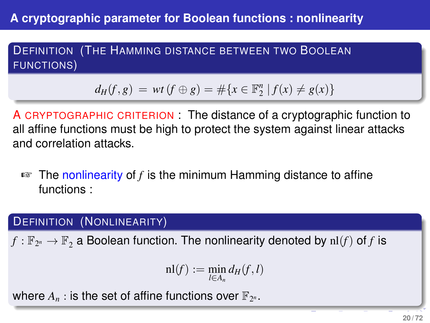DEFINITION (THE HAMMING DISTANCE BETWEEN TWO BOOLEAN FUNCTIONS)

$$
d_H(f,g) = wt(f \oplus g) = \#\{x \in \mathbb{F}_2^n \mid f(x) \neq g(x)\}\
$$

A CRYPTOGRAPHIC CRITERION : The distance of a cryptographic function to all affine functions must be high to protect the system against linear attacks and correlation attacks.

☞ The nonlinearity of *f* is the minimum Hamming distance to affine functions :

## DEFINITION (NONLINEARITY)

 $f:\mathbb{F}_{2^n}\rightarrow \mathbb{F}_2$  a Boolean function. The nonlinearity denoted by  $\mathrm{nl}(f)$  of  $f$  is

$$
\mathrm{nl}(f):=\min_{l\in A_n}d_H(f,l)
$$

where  $A_n$  : is the set of affine functions over  $\mathbb{F}_{2^n}$ .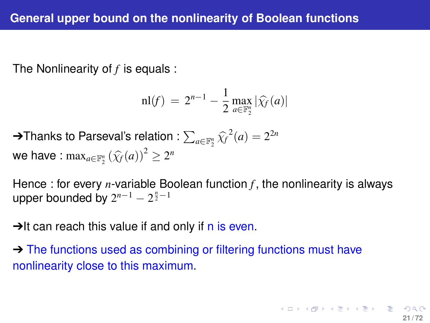The Nonlinearity of *f* is equals :

$$
\mathrm{nl}(f) \,=\, 2^{n-1} - \frac{1}{2} \max_{a \in \mathbb{F}_2^n} |\widehat{\chi_f}(a)|
$$

→Thanks to Parseval's relation :  $\sum_{a \in \mathbb{F}_2^n} \widehat{\chi_f}^2(a) = 2^{2n}$ we have :  $\max_{a \in \mathbb{F}_2^n} (\widehat{\chi_f}(a))^2 \geq 2^n$ 

Hence : for every *n*-variable Boolean function *f*, the nonlinearity is always upper bounded by  $2^{n-1} - 2^{\frac{n}{2}-1}$ 

 $\rightarrow$ It can reach this value if and only if n is even.

→ The functions used as combining or filtering functions must have nonlinearity close to this maximum.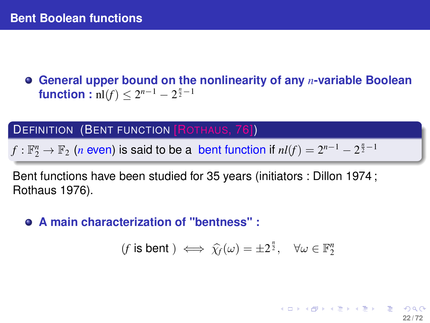**General upper bound on the nonlinearity of any** *n***-variable Boolean function** :  $\text{nl}(f) \leq 2^{n-1} - 2^{\frac{n}{2} - 1}$ 

#### **DEFINITION (BENT FUNCTION [ROTHAUS, 76])**

 $f: \mathbb{F}_2^n \to \mathbb{F}_2$  (*n* even) is said to be a bent function if  $nl(f) = 2^{n-1} - 2^{\frac{n}{2}-1}$ 

Bent functions have been studied for 35 years (initiators : Dillon 1974 ; Rothaus 1976).

**A main characterization of "bentness" :**

 $(f \text{ is bent }) \iff \hat{\chi_f}(\omega) = \pm 2^{\frac{n}{2}}, \quad \forall \omega \in \mathbb{F}_2^n$ 

**22 / 72**

メロトメ部 トメミトメミト ニミック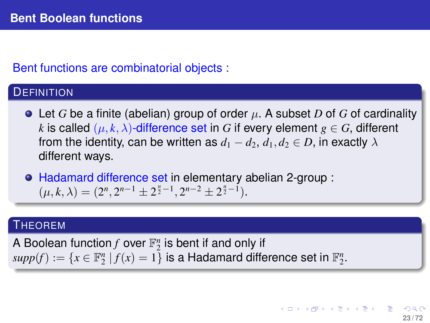## Bent functions are combinatorial objects :

### **DEFINITION**

 $\bullet$  Let *G* be a finite (abelian) group of order  $\mu$ . A subset *D* of *G* of cardinality *k* is called  $(\mu, k, \lambda)$ -difference set in *G* if every element  $g \in G$ , different from the identity, can be written as  $d_1 - d_2$ ,  $d_1, d_2 \in D$ , in exactly  $\lambda$ different ways.

Hadamard difference set in elementary abelian 2-group :  $(\mu, k, \lambda) = (2^n, 2^{n-1} \pm 2^{\frac{n}{2}-1}, 2^{n-2} \pm 2^{\frac{n}{2}-1}).$ 

#### **THEOREM**

A Boolean function  $f$  over  $\mathbb{F}_2^n$  is bent if and only if  $supp(f) := \{x \in \mathbb{F}_2^n \mid f(x) = 1\}$  is a Hadamard difference set in  $\mathbb{F}_2^n$ .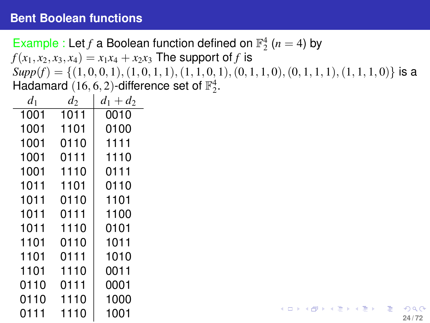Example : Let *f* a Boolean function defined on  $\mathbb{F}_2^4$  (*n* = 4) by  $f(x_1, x_2, x_3, x_4) = x_1x_4 + x_2x_3$  The support of *f* is  $Supp(f) = \{(1, 0, 0, 1), (1, 0, 1, 1), (1, 1, 0, 1), (0, 1, 1, 0), (0, 1, 1, 1), (1, 1, 1, 0)\}\$ is a Hadamard  $(16, 6, 2)$ -difference set of  $\mathbb{F}_2^4$ .

| $d_1$ | $d_2$ | $d_1 + d_2$ |
|-------|-------|-------------|
| 1001  | 1011  | 0010        |
| 1001  | 1101  | 0100        |
| 1001  | 0110  | 1111        |
| 1001  | 0111  | 1110        |
| 1001  | 1110  | 0111        |
| 1011  | 1101  | 0110        |
| 1011  | 0110  | 1101        |
| 1011  | 0111  | 1100        |
| 1011  | 1110  | 0101        |
| 1101  | 0110  | 1011        |
| 1101  | 0111  | 1010        |
| 1101  | 1110  | 0011        |
| 0110  | 0111  | 0001        |
| 0110  | 1110  | 1000        |
| 0111  | 1110  | 1001        |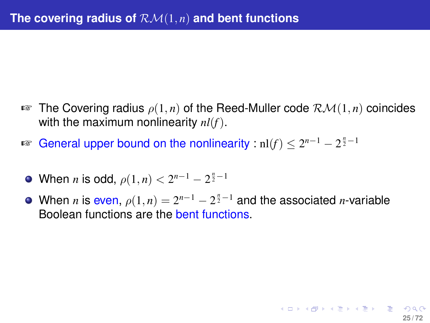- $\mathbb{F}$  The Covering radius  $\rho(1,n)$  of the Reed-Muller code  $\mathcal{RM}(1,n)$  coincides with the maximum nonlinearity *nl*(*f*).
- **Example 13** General upper bound on the nonlinearity :  $nl(f) \leq 2^{n-1} 2^{\frac{n}{2}-1}$
- When *n* is odd,  $\rho(1, n) < 2^{n-1} 2^{\frac{n}{2} 1}$
- When *n* is even,  $\rho(1, n) = 2^{n-1} 2^{\frac{n}{2} 1}$  and the associated *n*-variable Boolean functions are the bent functions.

**25 / 72**

イロトメ 倒 トメミトメミト ニミーの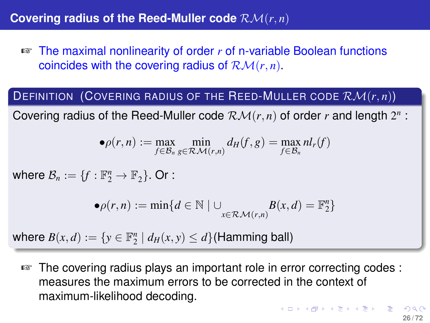☞ The maximal nonlinearity of order *r* of n-variable Boolean functions coincides with the covering radius of  $\mathcal{RM}(r, n)$ .

### DEFINITION (COVERING RADIUS OF THE REED-MULLER CODE RM(*r*, *n*))

Covering radius of the Reed-Muller code  $\mathcal{RM}(r, n)$  of order  $r$  and length  $2^n$ :

$$
\bullet \rho(r,n) := \max_{f \in \mathcal{B}_n} \min_{g \in \mathcal{RM}(r,n)} d_H(f,g) = \max_{f \in \mathcal{B}_n} n l_r(f)
$$

where  $\mathcal{B}_n := \{f : \mathbb{F}_2^n \to \mathbb{F}_2\}$ . Or :

$$
\bullet \rho(r,n) := \min \{ d \in \mathbb{N} \mid \cup_{x \in \mathcal{RM}(r,n)} B(x,d) = \mathbb{F}_2^n \}
$$

where  $B(x, d) := \{y \in \mathbb{F}_2^n \mid d_H(x, y) \leq d\}$  (Hamming ball)

☞ The covering radius plays an important role in error correcting codes : measures the maximum errors to be corrected in the context of maximum-likelihood decoding.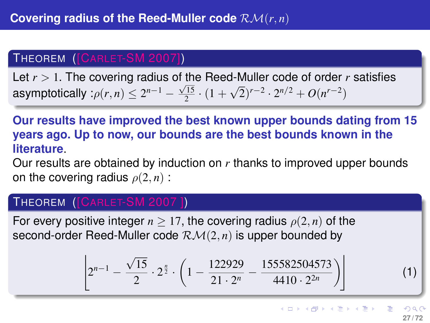### THEOREM ([CARLET-SM 2007])

Let *r* > 1. The covering radius of the Reed-Muller code of order *r* satisfies asymptotically : $\rho(r,n) \leq 2^{n-1} - \frac{\sqrt{15}}{2} \cdot (1 +$ √  $(2)^{r-2} \cdot 2^{n/2} + O(n^{r-2})$ 

**Our results have improved the best known upper bounds dating from 15 years ago. Up to now, our bounds are the best bounds known in the literature**.

Our results are obtained by induction on *r* thanks to improved upper bounds on the covering radius  $\rho(2, n)$ :

#### THEOREM ([CARLET-SM 2007 ])

For every positive integer  $n > 17$ , the covering radius  $\rho(2, n)$  of the second-order Reed-Muller code  $\mathcal{RM}(2, n)$  is upper bounded by

$$
\left[2^{n-1}-\frac{\sqrt{15}}{2}\cdot 2^{\frac{n}{2}}\cdot \left(1-\frac{122929}{21\cdot 2^n}-\frac{155582504573}{4410\cdot 2^{2n}}\right)\right]
$$

(1)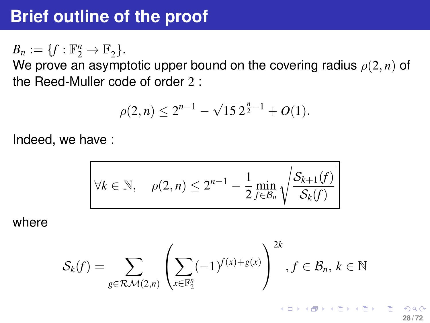$B_n := \{f : \mathbb{F}_2^n \to \mathbb{F}_2\}.$ 

We prove an asymptotic upper bound on the covering radius  $\rho(2, n)$  of the Reed-Muller code of order 2 :

$$
\rho(2,n) \le 2^{n-1} - \sqrt{15} \, 2^{\frac{n}{2}-1} + O(1).
$$

Indeed, we have :

$$
\forall k \in \mathbb{N}, \quad \rho(2, n) \le 2^{n-1} - \frac{1}{2} \min_{f \in \mathcal{B}_n} \sqrt{\frac{\mathcal{S}_{k+1}(f)}{\mathcal{S}_k(f)}}
$$

where

$$
\mathcal{S}_k(f) = \sum_{g \in \mathcal{RM}(2,n)} \left( \sum_{x \in \mathbb{F}_2^n} (-1)^{f(x)+g(x)} \right)^{2k}, f \in \mathcal{B}_n, k \in \mathbb{N}
$$

<span id="page-27-0"></span>K ロ ▶ K 個 ▶ K 君 ▶ K 君 ▶ ○ 君 **28 / 72**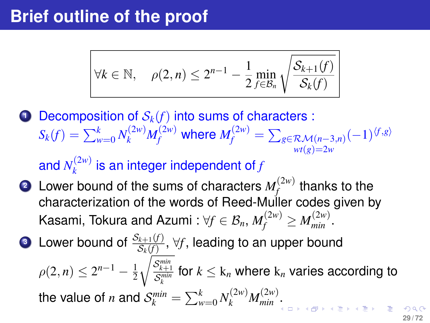$$
\forall k \in \mathbb{N}, \quad \rho(2, n) \leq 2^{n-1} - \frac{1}{2} \min_{f \in \mathcal{B}_n} \sqrt{\frac{\mathcal{S}_{k+1}(f)}{\mathcal{S}_k(f)}}
$$

**1** Decomposition of  $S_k(f)$  into sums of characters :  $S_k(f) = \sum_{w=0}^k N_k^{(2w)} M_f^{(2w)}$  where  $M_f^{(2w)} = \sum_{g \in \mathcal{RM}(n-3,n)} (-1)^{\langle f, g \rangle}$  $wt(g)=2w$ 

and  $N_k^{(2w)}$  $\binom{2w}{k}$  is an integer independent of *f* 

- **2** Lower bound of the sums of characters  $M_f^{(2w)}$  $f_f^{(2W)}$  thanks to the characterization of the words of Reed-Muller codes given by Kasami, Tokura and Azumi :  $\forall f \in \mathcal{B}_n, M_f^{(2w)} \geq M_{min}^{(2w)}.$
- <span id="page-28-0"></span>**3** Lower bound of  $\frac{\mathcal{S}_{k+1}(f)}{\mathcal{S}_{k}(f)}, \forall f,$  leading to an upper bound  $\rho(2,n) \leq 2^{n-1} - \frac{1}{2}$ 2  $\sqrt{\frac{S_{k+1}^{min}}{S_{k}^{min}}}$  for  $k \leq \mathrm{k}_n$  where  $\mathrm{k}_n$  varies according to *k* the value of *n* and  $\mathcal{S}_k^{min} = \sum_{w=0}^k N_k^{(2w)} M_{min}^{(2w)}$  [.](#page-27-0)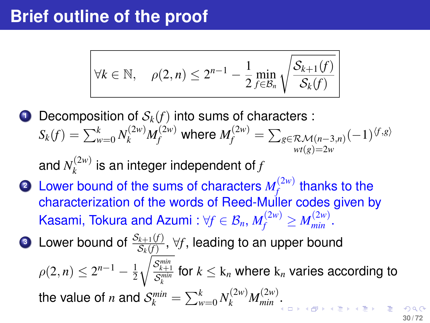$$
\forall k \in \mathbb{N}, \quad \rho(2, n) \leq 2^{n-1} - \frac{1}{2} \min_{f \in \mathcal{B}_n} \sqrt{\frac{\mathcal{S}_{k+1}(f)}{\mathcal{S}_k(f)}}
$$

**1** Decomposition of  $S_k(f)$  into sums of characters :  $S_k(f) = \sum_{w=0}^k N_k^{(2w)} M_f^{(2w)}$  where  $M_f^{(2w)} = \sum_{g \in \mathcal{RM}(n-3,n)} (-1)^{\langle f,g \rangle}$  $wt(e) = 2w$ 

and  $N_k^{(2w)}$  $\binom{p}{k}$  is an integer independent of *f* 

- **2** Lower bound of the sums of characters  $M_f^{(2w)}$  $f_f^{(2W)}$  thanks to the characterization of the words of Reed-Muller codes given by Kasami, Tokura and Azumi :  $\forall f \in \mathcal{B}_n, M_f^{(2w)} \geq M_{min}^{(2w)}.$
- <span id="page-29-0"></span>**3** Lower bound of  $\frac{\mathcal{S}_{k+1}(f)}{\mathcal{S}_{k}(f)}, \forall f,$  leading to an upper bound  $\rho(2,n) \leq 2^{n-1} - \frac{1}{2}$ 2  $\sqrt{\frac{S_{k+1}^{min}}{S_{k}^{min}}}$  for  $k \leq \mathrm{k}_n$  where  $\mathrm{k}_n$  varies according to *k* the value of *n* and  $\mathcal{S}_k^{min} = \sum_{w=0}^k N_k^{(2w)} M_{min}^{(2w)}$  [.](#page-28-0)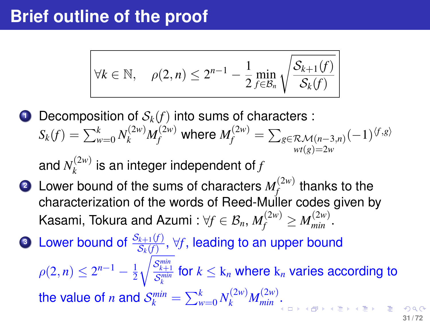$$
\forall k \in \mathbb{N}, \quad \rho(2, n) \leq 2^{n-1} - \frac{1}{2} \min_{f \in \mathcal{B}_n} \sqrt{\frac{\mathcal{S}_{k+1}(f)}{\mathcal{S}_k(f)}}
$$

**1** Decomposition of  $S_k(f)$  into sums of characters :  $S_k(f) = \sum_{w=0}^k N_k^{(2w)} M_f^{(2w)}$  where  $M_f^{(2w)} = \sum_{g \in \mathcal{RM}(n-3,n)} (-1)^{\langle f,g \rangle}$  $wt(e) = 2w$ 

and  $N_k^{(2w)}$  $\binom{p}{k}$  is an integer independent of *f* 

- **2** Lower bound of the sums of characters  $M_f^{(2w)}$  $f_f^{(2W)}$  thanks to the characterization of the words of Reed-Muller codes given by Kasami, Tokura and Azumi :  $\forall f \in \mathcal{B}_n, M_f^{(2w)} \geq M_{min}^{(2w)}.$
- <span id="page-30-0"></span>**3** Lower bound of  $\frac{\mathcal{S}_{k+1}(f)}{\mathcal{S}_{k}(f)}$ ,  $\forall f$ , leading to an upper bound  $\rho(2,n) \leq 2^{n-1} - \frac{1}{2}$ 2  $\sqrt{\frac{S_{k+1}^{min}}{S_{k}^{min}}}$  for  $k \leq \mathrm{k}_n$  where  $\mathrm{k}_n$  varies according to *k* the value of *n* and  $\mathcal{S}_k^{min} = \sum_{w=0}^k N_k^{(2w)} M_{min}^{(2w)}$ [.](#page-29-0)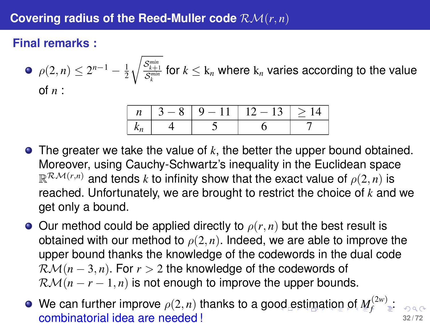## **Final remarks :**

• 
$$
\rho(2, n) \le 2^{n-1} - \frac{1}{2} \sqrt{\frac{S_{k+1}^{\min}}{S_k^{\min}}}
$$
 for  $k \le k_n$  where  $k_n$  varies according to the value of *n*:

<span id="page-31-0"></span>

| $3 - 8$ | $9 - 11 + 12 - 13$ | $\vert \rangle$ |
|---------|--------------------|-----------------|
|         |                    |                 |

- The greater we take the value of *k*, the better the upper bound obtained. Moreover, using Cauchy-Schwartz's inequality in the Euclidean space  $\mathbb{R}^{\mathcal{RM}(r,n)}$  and tends  $k$  to infinity show that the exact value of  $\rho(2,n)$  is reached. Unfortunately, we are brought to restrict the choice of *k* and we get only a bound.
- $\bullet$  Our method could be applied directly to  $\rho(r, n)$  but the best result is obtained with our method to  $\rho(2, n)$ . Indeed, we are able to improve the upper bound thanks the knowledge of the codewords in the dual code  $\mathcal{RM}(n-3,n)$ . For  $r > 2$  the knowledge of the codewords of  $\mathcal{RM}(n-r-1,n)$  is not enough to improve the upper bounds.
- We can further i[m](#page-31-0)prove  $\rho(2,n)$  thanks to a go[od](#page-30-0) [es](#page-32-0)[ti](#page-30-0)m[at](#page-32-0)[io](#page-0-0)[n o](#page-71-0)[f](#page-71-0)  $M_f^{(2w)}$  $M_f^{(2w)}$  $M_f^{(2w)}$  $M_f^{(2w)}$  . combinatorial idea are needed ! **32 / 72**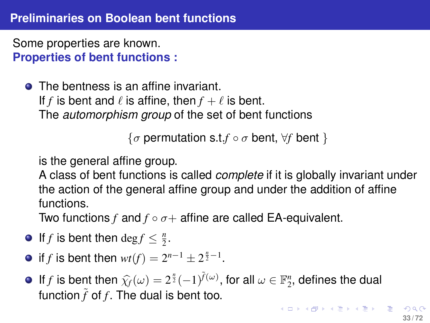Some properties are known. **Properties of bent functions :**

**•** The bentness is an affine invariant. If *f* is bent and  $\ell$  is affine, then  $f + \ell$  is bent. The *automorphism group* of the set of bent functions

<span id="page-32-0"></span> $\{\sigma \text{ permutation s.t.} f \circ \sigma \text{ bent}, \forall f \text{ bent} \}$ 

is the general affine group.

A class of bent functions is called *complete* if it is globally invariant under the action of the general affine group and under the addition of affine functions.

Two functions  $f$  and  $f \circ \sigma +$  affine are called EA-equivalent.

- If *f* is bent then  $\deg f \leq \frac{n}{2}$ .
- if *f* is bent then  $wt(f) = 2^{n-1} \pm 2^{\frac{n}{2}-1}$ .
- If *f* is bent then  $\hat{\chi}_f(\omega) = 2^{\frac{n}{2}}(-1)^{\tilde{f}(\omega)}$ , for all  $\omega \in \mathbb{F}_2^n$ , defines the dual function  $\tilde{\kappa}$  of f. The dual is bent too. function  $\tilde{f}$  of  $f$ . The dual is bent too.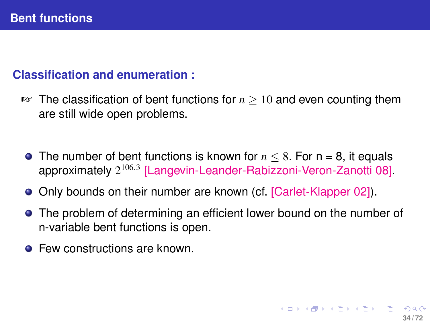## **Classification and enumeration :**

- ☞ The classification of bent functions for *n* ≥ 10 and even counting them are still wide open problems.
	- **•** The number of bent functions is known for  $n \leq 8$ . For  $n = 8$ , it equals approximately 2 106.3 [Langevin-Leander-Rabizzoni-Veron-Zanotti 08].
	- Only bounds on their number are known (cf. [Carlet-Klapper 02]).
	- **•** The problem of determining an efficient lower bound on the number of n-variable bent functions is open.
	- **Few constructions are known.**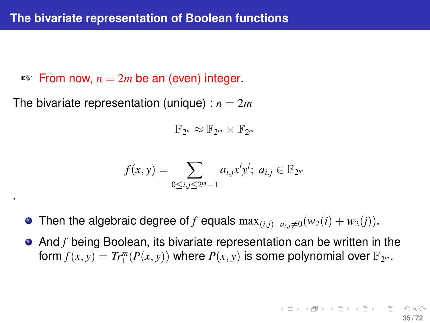$\infty$  From now,  $n = 2m$  be an (even) integer.

The bivariate representation (unique) :  $n = 2m$ 

.

$$
\mathbb{F}_{2^n}\approx\mathbb{F}_{2^m}\times\mathbb{F}_{2^m}
$$

$$
f(x, y) = \sum_{0 \le i, j \le 2^m - 1} a_{i,j} x^i y^j; \ a_{i,j} \in \mathbb{F}_{2^m}
$$

- Then the algebraic degree of *f* equals  $\max_{(i,j)|a_i\neq 0}(w_2(i) + w_2(j)).$
- And *f* being Boolean, its bivariate representation can be written in the form  $f(x, y) = Tr_1^m(P(x, y))$  where  $P(x, y)$  is some polynomial over  $\mathbb{F}_{2^m}$ .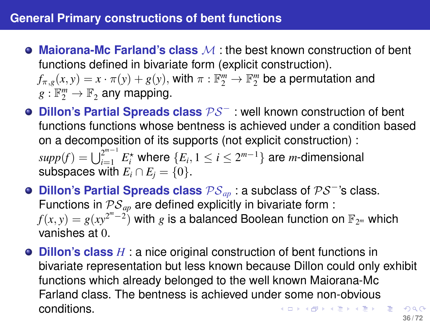- **Maiorana-Mc Farland's class** M : the best known construction of bent functions defined in bivariate form (explicit construction).  $f_{\pi,g}(x,y) = x \cdot \pi(y) + g(y)$ , with  $\pi : \mathbb{F}_2^m \to \mathbb{F}_2^m$  be a permutation and  $g: \mathbb{F}_2^m \to \mathbb{F}_2$  any mapping.
- **Dillon's Partial Spreads class** PS<sup>−</sup> : well known construction of bent functions functions whose bentness is achieved under a condition based on a decomposition of its supports (not explicit construction) :  $supp(f) = \bigcup_{i=1}^{2^{m-1}} E_i^\star$  where  $\{E_i, 1 \leq i \leq 2^{m-1}\}$  are *m*-dimensional subspaces with  $E_i \cap E_j = \{0\}$ .
- **Dillon's Partial Spreads class** PS*ap* : a subclass of PS<sup>−</sup>'s class. Functions in  $PS_{an}$  are defined explicitly in bivariate form :  $f(x,y) = g(xy^{2^m-2})$  with  $g$  is a balanced Boolean function on  $\mathbb{F}_{2^m}$  which vanishes at 0.
- **Dillon's class** *H* : a nice original construction of bent functions in bivariate representation but less known because Dillon could only exhibit functions which already belonged to the well known Maiorana-Mc Farland class. The bentness is achieved under some non-obvious conditions. K ロ ▶ K @ ▶ K 할 ▶ K 할 ▶ - 할 → 9 Q Q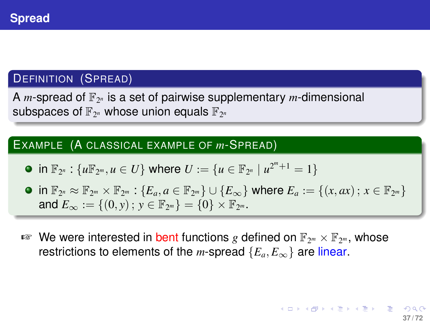## DEFINITION (SPREAD)

A *m*-spread of  $\mathbb{F}_{2^n}$  is a set of pairwise supplementary *m*-dimensional subspaces of  $\mathbb{F}_{2^n}$  whose union equals  $\mathbb{F}_{2^n}$ 

#### EXAMPLE (A CLASSICAL EXAMPLE OF *m*-SPREAD)

- $\inf_{x_2}$  :  $\{u\mathbb{F}_{2^m}, u \in U\}$  where  $U := \{u \in \mathbb{F}_{2^n} \mid u^{2^m+1} = 1\}$
- $\mathsf{in} \ \mathbb{F}_{2^n} \approx \mathbb{F}_{2^m} \times \mathbb{F}_{2^m} : \{E_a, a \in \mathbb{F}_{2^m}\} \cup \{E_\infty\}$  where  $E_a := \{(x, ax) \, ; \, x \in \mathbb{F}_{2^m}\}$ and  $E_{\infty} := \{(0, y) \, ; \, y \in \mathbb{F}_{2^m}\} = \{0\} \times \mathbb{F}_{2^m}.$
- **<sup>a</sup>** We were interested in bent functions g defined on  $\mathbb{F}_{2^m} \times \mathbb{F}_{2^m}$ , whose restrictions to elements of the *m*-spread  $\{E_a, E_\infty\}$  are linear.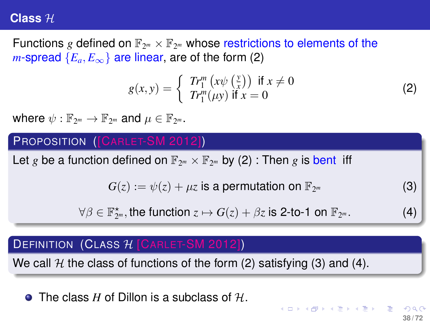#### **Class** H

Functions g defined on  $\mathbb{F}_{2^m}\times\mathbb{F}_{2^m}$  whose restrictions to elements of the *m*-spread  ${E_a, E_{\infty}}$  are linear, are of the form (2)

<span id="page-37-0"></span>
$$
g(x, y) = \begin{cases} Tr_1^m (x\psi(\frac{y}{x})) & \text{if } x \neq 0\\ Tr_1^m(\mu y) & \text{if } x = 0 \end{cases}
$$
 (2)

where  $\psi: \mathbb{F}_{2^m} \to \mathbb{F}_{2^m}$  and  $\mu \in \mathbb{F}_{2^m}$ .

#### PROPOSITION ([CARLET-SM 2012])

Let *g* be a function defined on  $\mathbb{F}_{2^m}\times\mathbb{F}_{2^m}$  by [\(2\)](#page-37-0) : Then *g* is bent iff

 $G(z) := \psi(z) + \mu z$  is a permutation on  $\mathbb{F}_{2^m}$ 

 $\forall \beta \in \mathbb{F}_{2^m}^{\star}$ , the function  $z \mapsto G(z) + \beta z$  is 2-to-1 on  $\mathbb{F}_2$ 

## **DEFINITION (CLASS**  $H$  **[CARLET-SM 2012])**

We call H the class of functions of the form (2) satisfying (3) and (4).

**• The class** *H* of Dillon is a subclass of H.

*<sup>m</sup>* (3)

 $(4)$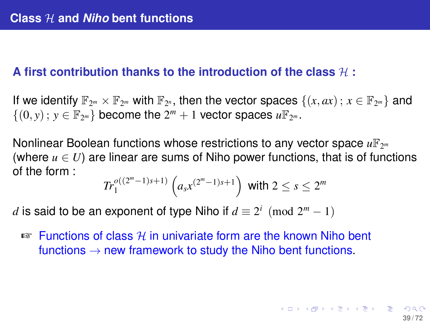## A first contribution thanks to the introduction of the class  $H$  :

If we identify  $\mathbb{F}_{2^m} \times \mathbb{F}_{2^m}$  with  $\mathbb{F}_{2^n}$ , then the vector spaces  $\{(x, ax): x \in \mathbb{F}_{2^m}\}\$  and  $\{(0, y) : y \in \mathbb{F}_{2^m}\}\)$  become the  $2^m + 1$  vector spaces  $u\mathbb{F}_{2^m}$ .

Nonlinear Boolean functions whose restrictions to any vector space  $u\mathbb{F}_{2^m}$ (where  $u \in U$ ) are linear are sums of Niho power functions, that is of functions of the form :

$$
Tr_1^{o((2^m-1)s+1)}\left(a_s x^{(2^m-1)s+1}\right) \text{ with } 2 \le s \le 2^m
$$

*d* is said to be an exponent of type Niho if  $d \equiv 2^i \pmod{2^m - 1}$ 

 $\sqrt{a}$  Functions of class H in univariate form are the known Niho bent functions  $\rightarrow$  new framework to study the Niho bent functions.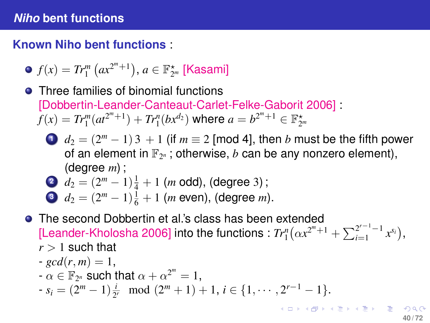**Known Niho bent functions** :

• 
$$
f(x) = Tr_1^m (ax^{2^m+1}), a \in \mathbb{F}_{2^m}^*
$$
 [Kasami]

- **•** Three families of binomial functions [Dobbertin-Leander-Canteaut-Carlet-Felke-Gaborit 2006] :  $f(x) = Tr_1^m(at^{2^m+1}) + Tr_1^n(bx^{d_2})$  where  $a = b^{2^m+1} \in \mathbb{F}_{2^m}^*$ 
	- **1**  $d_2 = (2^m 1) \cdot 3 + 1$  (if  $m \equiv 2$  [mod 4], then *b* must be the fifth power of an element in  $\mathbb{F}_{2^n}$  ; otherwise,  $b$  can be any nonzero element), (degree *m*) ;

$$
d_2 = (2^m - 1)\frac{1}{4} + 1 \text{ (m odd), (degree 3)};
$$

$$
d_2 = (2^m - 1)\frac{1}{6} + 1
$$
 (*m* even), (degree *m*).

- The second Dobbertin et al.'s class has been extended [Leander-Kholosha 2006] into the functions :  $Tr_1^n(\alpha x^{2^m+1} + \sum_{i=1}^{2^{r-1}-1} x^{s_i}),$  $r > 1$  such that
	- $gcd(r, m) = 1$ ,
	- $-\alpha \in \mathbb{F}_{2^n}$  such that  $\alpha + \alpha^{2^m} = 1$ ,
	- $s_i = (2^m 1)\frac{i}{2^r} \mod (2^m + 1) + 1, i \in \{1, \cdots, 2^{r-1} 1\}.$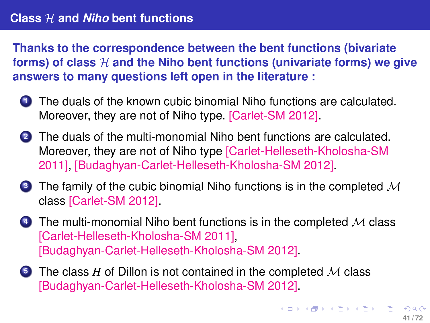**Thanks to the correspondence between the bent functions (bivariate** forms) of class  $H$  and the Niho bent functions (univariate forms) we give **answers to many questions left open in the literature :**

- **1** The duals of the known cubic binomial Niho functions are calculated. Moreover, they are not of Niho type. [Carlet-SM 2012].
- **<sup>2</sup>** The duals of the multi-monomial Niho bent functions are calculated. Moreover, they are not of Niho type [Carlet-Helleseth-Kholosha-SM 2011], [Budaghyan-Carlet-Helleseth-Kholosha-SM 2012].
- **3** The family of the cubic binomial Niho functions is in the completed M class [Carlet-SM 2012].
- **4** The multi-monomial Niho bent functions is in the completed M class [Carlet-Helleseth-Kholosha-SM 2011], [Budaghyan-Carlet-Helleseth-Kholosha-SM 2012].
- **5** The class *H* of Dillon is not contained in the completed *M* class [Budaghyan-Carlet-Helleseth-Kholosha-SM 2012].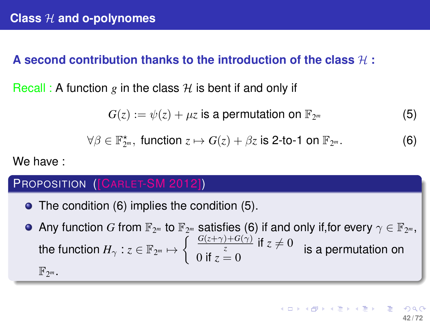## **A second contribution thanks to the introduction of the class** H **:**

Recall : A function g in the class  $H$  is bent if and only if

<span id="page-41-1"></span> $G(z) := \psi(z) + \mu z$  is a permutation on  $\mathbb{F}_{2^m}$ *<sup>m</sup>* (5)

<span id="page-41-0"></span>
$$
\forall \beta \in \mathbb{F}_{2^m}^{\star}, \text{ function } z \mapsto G(z) + \beta z \text{ is 2-to-1 on } \mathbb{F}_{2^m}.
$$

We have :

#### PROPOSITION ([CARLET-SM 2012])

- The condition [\(6\)](#page-41-0) implies the condition [\(5\)](#page-41-1).
- Any function  $G$  from  $\mathbb{F}_{2^m}$  to  $\mathbb{F}_{2^m}$  satisfies [\(6\)](#page-41-0) if and only if,for every  $\gamma\in\mathbb{F}_{2^m},$ the function  $H_\gamma: z\in \mathbb{F}_{2^m}\mapsto \left\{\begin{array}{c} \frac{G(z+\gamma)+G(\gamma)}{z} \text{ if } z\neq 0, \ \frac{G(z+\gamma)+G(\gamma)}{z} \text{ if } z\neq 0. \end{array}\right.$ 0 if  $z = 0$  is a permutation on

F2 *m* .

<span id="page-41-2"></span>*<sup>m</sup>* . (6)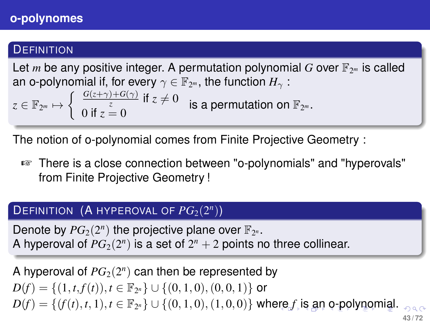## **DEFINITION**

Let *m* be any positive integer. A permutation polynomial  $G$  over  $\mathbb{F}_{2^m}$  is called an o-polynomial if, for every  $\gamma \in \mathbb{F}_{2^m},$  the function  $H_\gamma$  :

$$
z\in \mathbb{F}_{2^m}\mapsto \left\{\begin{array}{ll} \frac{G(z+\gamma)+G(\gamma)}{z} \text{ if } z\neq 0 & \text{is a permutation on }\mathbb{F}_{2^m}. \\ 0 \text{ if } z=0 & \end{array}\right.
$$

The notion of o-polynomial comes from Finite Projective Geometry :

☞ There is a close connection between "o-polynomials" and "hyperovals" from Finite Projective Geometry !

# $\mathsf{DEFINITION}$  (A HYPEROVAL OF  $PG_2(2^n)$ )

Denote by  $PG_2(2^n)$  the projective plane over  $\mathbb{F}_{2^n}$ . A hyperoval of  $PG<sub>2</sub>(2<sup>n</sup>)$  is a set of  $2<sup>n</sup> + 2$  points no three collinear.

<span id="page-42-0"></span>A hyperoval of  $PG_2(2^n)$  can then be represented by  $D(f) = \{(1, t, f(t)), t \in \mathbb{F}_{2^n}\} \cup \{(0, 1, 0), (0, 0, 1)\}$  or  $D(f) = \{ (f(t), t, 1), t \in \mathbb{F}_{2^n} \} \cup \{ (0, 1, 0), (1, 0, 0) \}$  $D(f) = \{ (f(t), t, 1), t \in \mathbb{F}_{2^n} \} \cup \{ (0, 1, 0), (1, 0, 0) \}$  $D(f) = \{ (f(t), t, 1), t \in \mathbb{F}_{2^n} \} \cup \{ (0, 1, 0), (1, 0, 0) \}$  $D(f) = \{ (f(t), t, 1), t \in \mathbb{F}_{2^n} \} \cup \{ (0, 1, 0), (1, 0, 0) \}$  wh[ere](#page-41-2) *f* i[s](#page-41-2) [a](#page-42-0)n [o-](#page-0-0)[po](#page-71-0)[lyn](#page-0-0)[o](#page-71-0)[mi](#page-0-0)[al.](#page-71-0) **43 / 72**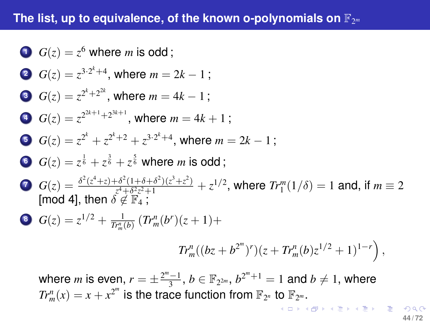# **The list, up to equivalence, of the known o-polynomials on** F<sup>2</sup> *m*

\n- \n**1** 
$$
G(z) = z^6
$$
 where *m* is odd;\n
\n- \n**2**  $G(z) = z^{3 \cdot 2^k + 4}$ , where  $m = 2k - 1$ ;\n
\n- \n**3**  $G(z) = z^{2^k + 2^{2^k}}$ , where  $m = 4k - 1$ ;\n
\n- \n**4**  $G(z) = z^{2^{2k+1}+2^{3k+1}}$ , where  $m = 4k + 1$ ;\n
\n- \n**5**  $G(z) = z^{2^k} + z^{2^k + 2} + z^{3 \cdot 2^k + 4}$ , where  $m = 2k - 1$ ;\n
\n- \n**6**  $G(z) = z^{\frac{1}{6}} + z^{\frac{3}{6}} + z^{\frac{5}{6}}$  where *m* is odd;\n
\n- \n**7**  $G(z) = \frac{\delta^2(z^4 + z) + \delta^2(1 + \delta + \delta^2)(z^3 + z^2)}{z^4 + \delta^2 z^2 + 1} + z^{1/2}$ , where  $Tr_1^m(1/\delta) = 1$  and, if  $m \equiv 2$  [mod 4], then  $\delta \notin \mathbb{F}_4$ ;\n
\n- \n**6**  $G(z) = z^{1/2} + \frac{1}{Tr_m^m(b)}(Tr_m^m(b^r)(z + 1) + Tr_m^m((bz + b^{2^m})^r)(z + Tr_m^m(b)z^{1/2} + 1)^{1-r}$ ), where *m* is even,  $r = \pm \frac{2^m - 1}{3}$ ,  $b \in \mathbb{F}_{2^{2m}}$ ,  $b^{2^m + 1} = 1$  and  $b \neq 1$ , where *m* is even,  $r = \pm \frac{2^m - 1}{3}$ ,  $r = \pm \frac{2^m - 1}{3}$ ,

<span id="page-43-0"></span> $Tr_m^n(x) = x + x^{2^m}$  is the trace function from  $\mathbb{F}_{2^n}$  to  $\mathbb{F}_{2^m}$ .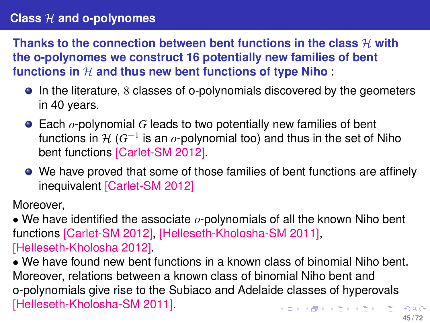## **Class** H **and o-polynomes**

**Thanks to the connection between bent functions in the class**  $H$  **with the o-polynomes we construct 16 potentially new families of bent** functions in  $H$  and thus new bent functions of type Niho

- In the literature, 8 classes of o-polynomials discovered by the geometers in 40 years.
- Each *o*-polynomial *G* leads to two potentially new families of bent functions in <del>1/</del> (G<sup>−1</sup> is an *o-*polynomial too) and thus in the set of Niho bent functions [Carlet-SM 2012].
- We have proved that some of those families of bent functions are affinely inequivalent [Carlet-SM 2012]

Moreover,

• We have identified the associate *o*-polynomials of all the known Niho bent functions [Carlet-SM 2012], [Helleseth-Kholosha-SM 2011], [Helleseth-Kholosha 2012].

• We have found new bent functions in a known class of binomial Niho bent. Moreover, relations between a known class of binomial Niho bent and o-polynomials give rise to the Subiaco and Adelaide classes of hyperovals [Helleseth-Kholosha-SM 2011]. K ロ X K 個 X K 差 X K 差 X …差 …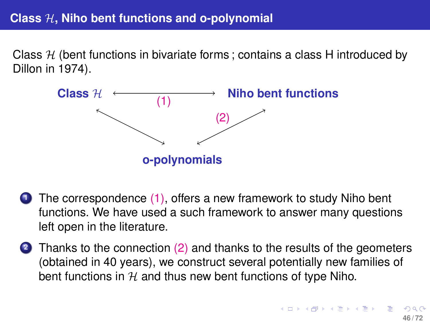# **Class** H**, Niho bent functions and o-polynomial**

Class  $H$  (bent functions in bivariate forms; contains a class H introduced by Dillon in 1974).



- **1** The correspondence (1), offers a new framework to study Niho bent functions. We have used a such framework to answer many questions left open in the literature.
- <span id="page-45-0"></span>**2** Thanks to the connection (2) and thanks to the results of the geometers (obtained in 40 years), we construct several potentially new families of bent functions in  $H$  and thus new bent functions of type Niho.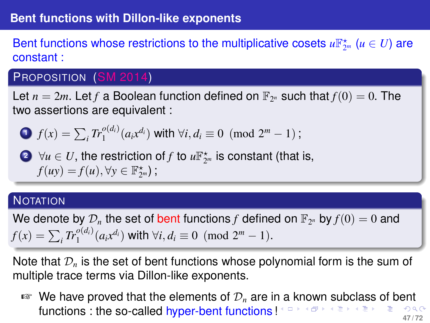Bent functions whose restrictions to the multiplicative cosets  $u\mathbb{F}_{2^m}^{\star}$   $(u \in U)$  are constant :

## PROPOSITION (SM 2014)

Let  $n = 2m$ . Let *f* a Boolean function defined on  $\mathbb{F}_{2^n}$  such that  $f(0) = 0$ . The two assertions are equivalent :

$$
\bullet \quad f(x) = \sum_i Tr_1^{o(d_i)}(a_i x^{d_i}) \text{ with } \forall i, d_i \equiv 0 \text{ (mod } 2^m - 1);
$$

2  $\forall u \in U$ , the restriction of *f* to  $u\mathbb{F}_{2^m}^{\star}$  is constant (that is,  $f(uy) = f(u), \forall y \in \mathbb{F}_{2^m}^*$ );

#### **NOTATION**

We denote by  $\mathcal{D}_n$  the set of bent functions f defined on  $\mathbb{F}_{2^n}$  by  $f(0) = 0$  and  $f(x) = \sum_i Tr_1^{o(d_i)}(a_i x^{d_i})$  with  $\forall i, d_i \equiv 0 \pmod{2^m - 1}$ .

Note that  $\mathcal{D}_n$  is the set of bent functions whose polynomial form is the sum of multiple trace terms via Dillon-like exponents.

<span id="page-46-0"></span> $\mathbb{F}$  We have pr[o](#page-45-0)ved that the eleme[n](#page-47-0)ts [of](#page-0-0)  $\mathcal{D}_n$  are i[n a](#page-45-0) [kn](#page-47-0)o[w](#page-46-0)n [su](#page-0-0)[bc](#page-71-0)[la](#page-0-0)[ss](#page-71-0) of [be](#page-71-0)nt **functions : the so-called hyper-bent functions !**  $\leftarrow$   $\mathbb{P} \times \mathbb{P} \times \mathbb{P} \times \mathbb{P} \times \mathbb{P} \times \mathbb{P} \times \mathbb{P} \times \mathbb{P} \times \mathbb{P} \times \mathbb{P} \times \mathbb{P} \times \mathbb{P} \times \mathbb{P} \times \mathbb{P} \times \mathbb{P} \times \mathbb{P} \times \mathbb{P} \times \mathbb{P} \times \mathbb{P} \times \mathbb{P} \times \mathbb{$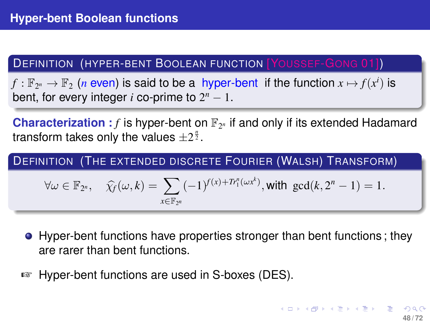## DEFINITION (HYPER-BENT BOOLEAN FUNCTION [YOUSSEF-GONG 01])

 $f: \mathbb{F}_{2^n} \to \mathbb{F}_2$  (*n* even) is said to be a hyper-bent if the function  $x \mapsto f(x^i)$  is bent, for every integer  $i$  co-prime to  $2^n - 1$ .

**Characterization**:  $f$  is hyper-bent on  $\mathbb{F}_{2^n}$  if and only if its extended Hadamard transform takes only the values  $\pm 2^{\frac{n}{2}}$ .

DEFINITION (THE EXTENDED DISCRETE FOURIER (WALSH) TRANSFORM)

<span id="page-47-0"></span>
$$
\forall \omega \in \mathbb{F}_{2^n}, \quad \widehat{\chi}_f(\omega,k) = \sum_{x \in \mathbb{F}_{2^n}} (-1)^{f(x) + Tr_1^n(\omega x^k)}, \text{with } \gcd(k, 2^n - 1) = 1.
$$

- Hyper-bent functions have properties stronger than bent functions; they are rarer than bent functions.
- ☞ Hyper-bent functions are used in S-boxes (DES).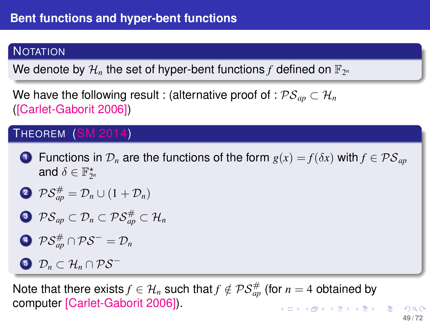# **NOTATION**

We denote by  $\mathcal{H}_n$  the set of hyper-bent functions  $f$  defined on  $\mathbb{F}_{2^n}$ 

We have the following result : (alternative proof of :  $\mathcal{PS}_{an} \subset \mathcal{H}_n$ ([Carlet-Gaborit 2006])

# THEOREM (SM 2014)

**1** Functions in  $\mathcal{D}_n$  are the functions of the form  $g(x) = f(\delta x)$  with  $f \in \mathcal{PS}_{an}$ and  $\delta \in \mathbb{F}_{2^n}^\star$ 

$$
\bullet \ \mathcal{PS}^{\#}_{ap} = \mathcal{D}_n \cup (1 + \mathcal{D}_n)
$$

$$
\textcolor{blue}{\bigcirc} \ \ \mathcal{PS}_{\mathit{ap}} \subset \mathcal{D}_n \subset \mathcal{PS}^{\#}_{\mathit{ap}} \subset \mathcal{H}_n
$$

$$
\textcolor{blue}{\bigcirc} \ \ \mathcal{PS}^{\#}_{ap} \cap \mathcal{PS}^+ = \mathcal{D}_n
$$

# **<sup>5</sup>** D*<sup>n</sup>* ⊂ H*<sup>n</sup>* ∩ PS<sup>−</sup>

Note that there exists  $f \in \mathcal{H}_n$  such that  $f \notin \mathcal{PS}_{ap}^{\#}$  (for  $n=4$  obtained by computer [Carlet-Gaborit 2006]). 

**49 / 72**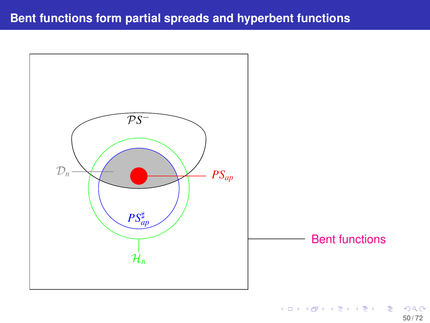# **Bent functions form partial spreads and hyperbent functions**

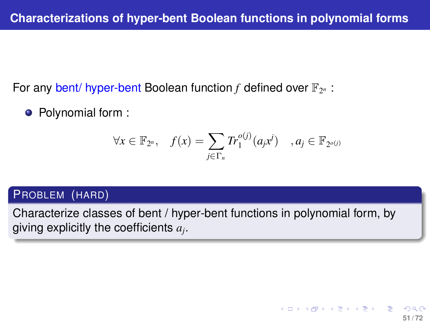For any bent/ hyper-bent Boolean function  $f$  defined over  $\mathbb{F}_{2^n}$ :

• Polynomial form :

$$
\forall x \in \mathbb{F}_{2^n}, \quad f(x) = \sum_{j \in \Gamma_n} Tr_1^{o(j)}(a_j x^j) \quad , a_j \in \mathbb{F}_{2^{o(j)}}
$$

#### PROBLEM (HARD)

Characterize classes of bent / hyper-bent functions in polynomial form, by giving explicitly the coefficients *a<sup>j</sup>* .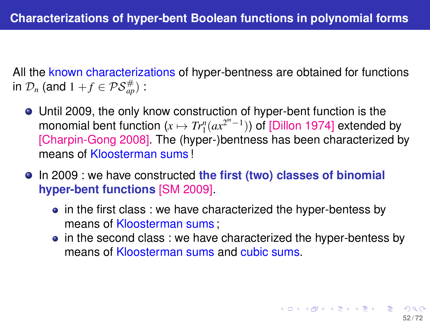All the known characterizations of hyper-bentness are obtained for functions in  $\mathcal{D}_n$  (and  $1 + f \in \mathcal{PS}_{ap}^{\#}$ ) :

- Until 2009, the only know construction of hyper-bent function is the monomial bent function  $(x \mapsto Tr_1^n(ax^{2^m-1}))$  of [Dillon 1974] extended by [Charpin-Gong 2008]. The (hyper-)bentness has been characterized by means of Kloosterman sums !
- <span id="page-51-0"></span>In 2009 : we have constructed **the first (two) classes of binomial hyper-bent functions** [SM 2009].
	- in the first class : we have characterized the hyper-bentess by means of Kloosterman sums ;
	- in the second class : we have characterized the hyper-bentess by means of Kloosterman sums and cubic sums.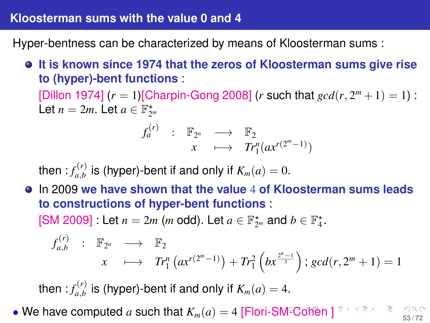#### **Kloosterman sums with the value 0 and 4**

Hyper-bentness can be characterized by means of Kloosterman sums :

**It is known since 1974 that the zeros of Kloosterman sums give rise to (hyper)-bent functions** :

[Dillon 1974]  $(r = 1)$ [Charpin-Gong 2008]  $(r \text{ such that } gcd(r, 2<sup>m</sup> + 1) = 1)$ : Let  $n = 2m$ . Let  $a \in \mathbb{F}_{2^m}^{\star}$ 

<span id="page-52-0"></span>
$$
f_a^{(r)} \quad : \quad \mathbb{F}_{2^n} \quad \longrightarrow \quad \mathbb{F}_2 \\
x \quad \longmapsto \quad Tr_1^n(ax^{r(2^m-1)})
$$

then :  $f_{a,b}^{(r)}$  $\sum_{a,b}^{N}$  is (hyper)-bent if and only if  $K_m(a)=0.$ 

In 2009 **we have shown that the value** 4 **of Kloosterman sums leads to constructions of hyper-bent functions** :

[SM 2009] : Let  $n = 2m$  (*m* odd). Let  $a \in \mathbb{F}_{2^m}^{\star}$  and  $b \in \mathbb{F}_4^{\star}$ .

$$
f_{a,b}^{(r)}: \mathbb{F}_{2^n} \longrightarrow \mathbb{F}_2
$$
  

$$
x \longmapsto Tr_1^n(ax^{r(2^m-1)}) + Tr_1^2(bx^{\frac{2^n-1}{3}}); gcd(r, 2^m + 1) = 1
$$

then :  $f_{a,b}^{(r)}$  $\sum_{a,b}^{P(Y)}$  is (hyper)-bent if and only if  $K_m(a)=4.$ 

• We have c[o](#page-51-0)mputed *a* such that  $K_m(a) = 4$  [Flori-[SM](#page-51-0)<sup>=</sup>[C](#page-53-0)o[he](#page-52-0)[n](#page-53-0) [\]](#page-0-0) **5**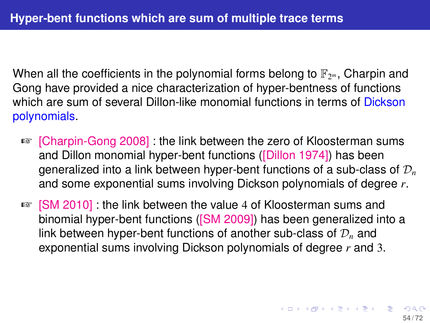When all the coefficients in the polynomial forms belong to  $\mathbb{F}_{2^m}$ , Charpin and Gong have provided a nice characterization of hyper-bentness of functions which are sum of several Dillon-like monomial functions in terms of Dickson polynomials.

- ☞ [Charpin-Gong 2008] : the link between the zero of Kloosterman sums and Dillon monomial hyper-bent functions ([Dillon 1974]) has been generalized into a link between hyper-bent functions of a sub-class of D*<sup>n</sup>* and some exponential sums involving Dickson polynomials of degree *r*.
- <span id="page-53-0"></span>☞ [SM 2010] : the link between the value 4 of Kloosterman sums and binomial hyper-bent functions ([SM 2009]) has been generalized into a link between hyper-bent functions of another sub-class of D*<sup>n</sup>* and exponential sums involving Dickson polynomials of degree *r* and 3.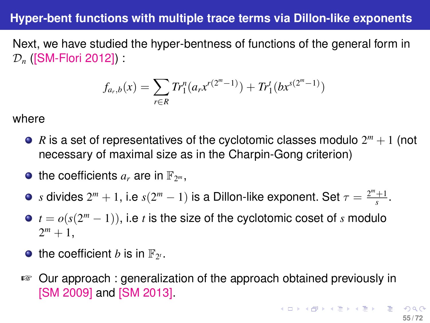## **Hyper-bent functions with multiple trace terms via Dillon-like exponents**

Next, we have studied the hyper-bentness of functions of the general form in D*<sup>n</sup>* ([SM-Flori 2012]) :

<span id="page-54-0"></span>
$$
f_{a_r,b}(x) = \sum_{r \in R} Tr_1^n(a_r x^{r(2^m-1)}) + Tr_1^t(b x^{s(2^m-1)})
$$

where

- $R$  is a set of representatives of the cyclotomic classes modulo  $2^m + 1$  (not necessary of maximal size as in the Charpin-Gong criterion)
- the coefficients  $a_r$  are in  $\mathbb{F}_{2^m}$ ,
- *s* divides  $2^m + 1$ , i.e  $s(2^m 1)$  is a Dillon-like exponent. Set  $\tau = \frac{2^m + 1}{s}$ .
- $t = o(s(2^m 1))$ , i.e *t* is the size of the cyclotomic coset of *s* modulo  $2^m + 1$ ,
- the coefficient *b* is in  $\mathbb{F}_{2^t}$ .
- ☞ Our approach : generalization of the approach obtained previously in [SM 2009] and [SM 2013].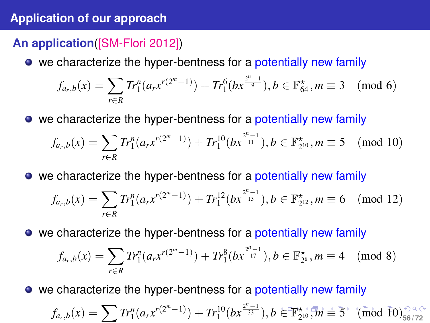## **Application of our approach**

# **An application**([SM-Flori 2012])

• we characterize the hyper-bentness for a potentially new family

$$
f_{a_r,b}(x) = \sum_{r \in R} Tr_1^n(a_r x^{r(2^m - 1)}) + Tr_1^6(bx^{\frac{2^n - 1}{9}}), b \in \mathbb{F}_{64}^{\star}, m \equiv 3 \pmod{6}
$$

• we characterize the hyper-bentness for a potentially new family

$$
f_{a_r,b}(x) = \sum_{r \in R} Tr_1^n(a_r x^{r(2^m - 1)}) + Tr_1^{10}(bx^{\frac{2^n - 1}{11}}), b \in \mathbb{F}_{2^{10}}^{\star}, m \equiv 5 \pmod{10}
$$

• we characterize the hyper-bentness for a potentially new family

$$
f_{a_r,b}(x) = \sum_{r \in R} Tr_1^n(a_r x^{r(2^m - 1)}) + Tr_1^{12}(bx^{\frac{2^n - 1}{13}}), b \in \mathbb{F}_{2^{12}}^*, m \equiv 6 \pmod{12}
$$

• we characterize the hyper-bentness for a potentially new family

<span id="page-55-0"></span>
$$
f_{a_r,b}(x) = \sum_{r \in R} Tr_1^n(a_r x^{r(2^m - 1)}) + Tr_1^8(bx^{\frac{2^n - 1}{17}}), b \in \mathbb{F}_{2^8}^{\star}, m \equiv 4 \pmod{8}
$$

• we characterize the hyper-bentness for a potentially new family

$$
f_{a_r,b}(x)=\sum T r_1^n(a_rx^{r(2^m-1)})+Tr_1^{10}(bx^{\frac{2^n-1}{33}}),b\in \mathbb{F}_{2^{10}}^{\star},m\equiv \overline{5}^{\star} \text{ (mod $\overline{1}0$)}_{56/72}^{\text{CQCD}}
$$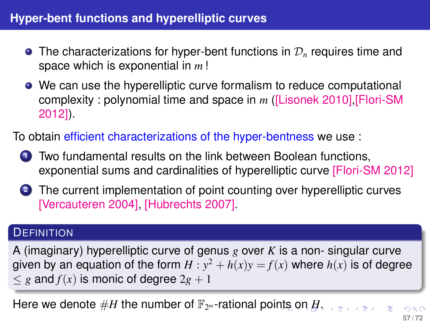# **Hyper-bent functions and hyperelliptic curves**

- **•** The characterizations for hyper-bent functions in  $\mathcal{D}_n$  requires time and space which is exponential in *m* !
- We can use the hyperelliptic curve formalism to reduce computational complexity : polynomial time and space in *m* ([Lisonek 2010],[Flori-SM 2012]).

To obtain efficient characterizations of the hyper-bentness we use :

- **<sup>1</sup>** Two fundamental results on the link between Boolean functions, exponential sums and cardinalities of hyperelliptic curve [Flori-SM 2012]
- **<sup>2</sup>** The current implementation of point counting over hyperelliptic curves [Vercauteren 2004], [Hubrechts 2007].

#### **DEFINITION**

A (imaginary) hyperelliptic curve of genus *g* over *K* is a non- singular curve given by an equation of the form  $H : y^2 + h(x)y = f(x)$  where  $h(x)$  is of degree  $\leq g$  and  $f(x)$  is monic of degree  $2g + 1$ 

Here we de[n](#page-55-0)ote  $\#H$  $\#H$  the number [o](#page-57-0)f  $\mathbb{F}_{2^m}$ -rational poi[nts](#page-55-0) on  $H.$  $H.$ 

<span id="page-56-0"></span> $\begin{array}{cccccccccccccc} \bullet & \equiv & \rightarrow & \rightarrow & \equiv & \rightarrow & \end{array}$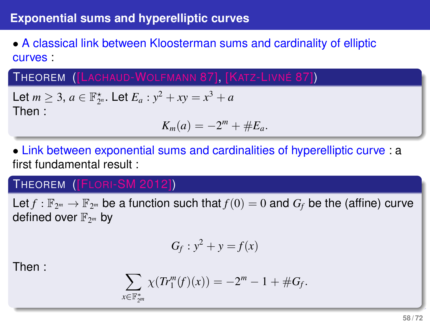## **Exponential sums and hyperelliptic curves**

# • A classical link between Kloosterman sums and cardinality of elliptic curves :

THEOREM ([LACHAUD-WOLFMANN 87], [KATZ-LIVNÉ 87])

Let  $m \geq 3$ ,  $a \in \mathbb{F}_{2^n}^*$ . Let  $E_a : y^2 + xy = x^3 + a$ Then :

$$
K_m(a)=-2^m+\#E_a.
$$

• Link between exponential sums and cardinalities of hyperelliptic curve : a first fundamental result :

## THEOREM ([FLORI-SM 2012])

Let  $f : \mathbb{F}_{2^m} \to \mathbb{F}_{2^m}$  be a function such that  $f(0) = 0$  and  $G_f$  be the (affine) curve defined over F<sup>2</sup> *<sup>m</sup>* by

<span id="page-57-0"></span>
$$
G_f: y^2 + y = f(x)
$$

Then :

$$
\sum_{x \in \mathbb{F}_{2^m}^*} \chi(Tr_1^m(f)(x)) = -2^m - 1 + \#G_f.
$$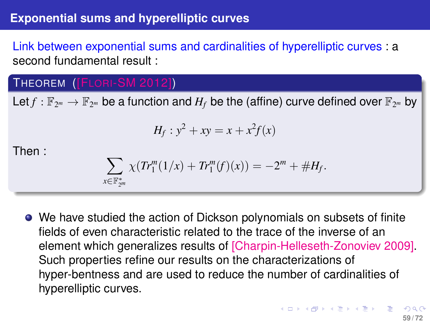## **Exponential sums and hyperelliptic curves**

Link between exponential sums and cardinalities of hyperelliptic curves : a second fundamental result :

# THEOREM ([FLORI-SM 2012])

Let $f: \mathbb{F}_{2^m} \to \mathbb{F}_{2^m}$  be a function and  $H_f$  be the (affine) curve defined over  $\mathbb{F}_{2^m}$  by

$$
H_f: y^2 + xy = x + x^2 f(x)
$$

Then :

$$
\sum_{x \in \mathbb{F}_{2^m}^*} \chi(Tr_1^m(1/x) + Tr_1^m(f)(x)) = -2^m + \#H_f.
$$

We have studied the action of Dickson polynomials on subsets of finite fields of even characteristic related to the trace of the inverse of an element which generalizes results of [Charpin-Helleseth-Zonoviev 2009]. Such properties refine our results on the characterizations of hyper-bentness and are used to reduce the number of cardinalities of hyperelliptic curves.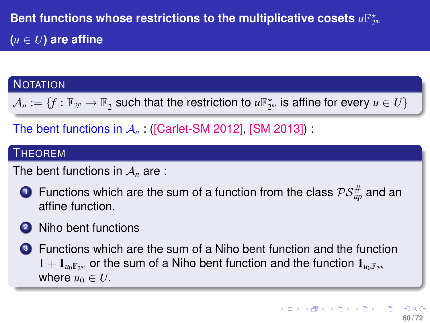## **NOTATION**

 $\mathcal{A}_n:=\{f:\mathbb{F}_{2^n}\to\mathbb{F}_2 \text{ such that the restriction to } u\mathbb{F}_{2^m}^{\star} \text{ is affine for every } u\in U\}$ 

The bent functions in  $A_n$  ([Carlet-SM 2012], [SM 2013])

#### **THEOREM**

The bent functions in  $A_n$  are :

**1** Functions which are the sum of a function from the class  $\mathcal{PS}_{ap}^{\#}$  and an affine function.

# **<sup>2</sup>** Niho bent functions

**<sup>3</sup>** Functions which are the sum of a Niho bent function and the function  $1 + \mathbf{1}_{\mu_0\mathbb{F}_{2m}}$  or the sum of a Niho bent function and the function  $\mathbf{1}_{\mu_0\mathbb{F}_{2m}}$ where  $u_0 \in U$ .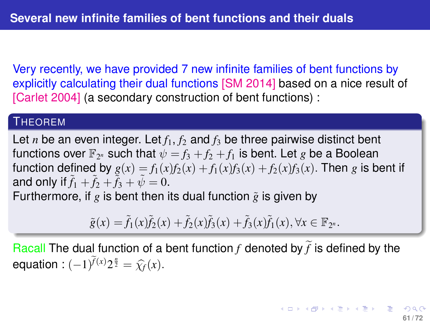Very recently, we have provided 7 new infinite families of bent functions by explicitly calculating their dual functions [SM 2014] based on a nice result of [Carlet 2004] (a secondary construction of bent functions) :

#### **THEOREM**

Let *n* be an even integer. Let  $f_1, f_2$  and  $f_3$  be three pairwise distinct bent functions over  $\mathbb{F}_{2^n}$  such that  $\psi = f_3 + f_2 + f_1$  is bent. Let *g* be a Boolean function defined by  $g(x) = f_1(x)f_2(x) + f_1(x)f_3(x) + f_2(x)f_3(x)$ . Then *g* is bent if and only if  $f_1 + f_2 + f_3 + \psi = 0$ . Furthermore, if  $g$  is bent then its dual function  $\tilde{g}$  is given by

 $\tilde{g}(x) = \tilde{f}_1(x)\tilde{f}_2(x) + \tilde{f}_2(x)\tilde{f}_3(x) + \tilde{f}_3(x)\tilde{f}_1(x), \forall x \in \mathbb{F}_{2^n}$ .

Racall The dual function of a bent function  $f$  denoted by  $\tilde{f}$  is defined by the equation :  $(-1)^{\widetilde{f}(x)} 2^{\frac{n}{2}} = \widehat{\chi}_f(x)$ .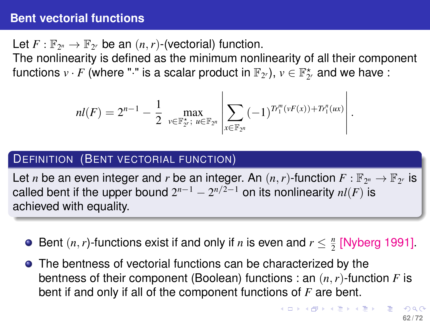## **Bent vectorial functions**

Let  $F: \mathbb{F}_{2^n} \to \mathbb{F}_{2^r}$  be an  $(n, r)$ -(vectorial) function.

The nonlinearity is defined as the minimum nonlinearity of all their component functions  $v\cdot F$  (where " $\cdot$ " is a scalar product in  $\mathbb{F}_{2^r}$ ),  $v\in \mathbb{F}_{2^r}^\star$  and we have :

$$
nl(F) = 2^{n-1} - \frac{1}{2} \max_{v \in \mathbb{F}_{2^r}^*; u \in \mathbb{F}_{2^n}} \left| \sum_{x \in \mathbb{F}_{2^n}} (-1)^{Tr_1^m(vF(x)) + Tr_1^n(ux)} \right|
$$

## DEFINITION (BENT VECTORIAL FUNCTION)

Let *n* be an even integer and *r* be an integer. An  $(n, r)$ -function  $F : \mathbb{F}_{2^n} \to \mathbb{F}_{2^r}$  is called bent if the upper bound  $2^{n-1} - 2^{n/2-1}$  on its nonlinearity  $\mathit{nl}(F)$  is achieved with equality.

- Bent  $(n, r)$ -functions exist if and only if *n* is even and  $r \leq \frac{n}{2}$  [Nyberg 1991].
- **•** The bentness of vectorial functions can be characterized by the bentness of their component (Boolean) functions : an (*n*,*r*)-function *F* is bent if and only if all of the component functions of *F* are bent.

.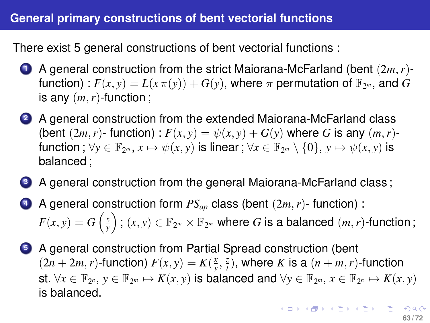# **General primary constructions of bent vectorial functions**

There exist 5 general constructions of bent vectorial functions :

- **<sup>1</sup>** A general construction from the strict Maiorana-McFarland (bent (2*m*,*r*) function) :  $F(x, y) = L(x \pi(y)) + G(y)$ , where  $\pi$  permutation of  $\mathbb{F}_{2^m}$ , and  $G$ is any (*m*,*r*)-function ;
- **<sup>2</sup>** A general construction from the extended Maiorana-McFarland class (bent  $(2m, r)$ - function) :  $F(x, y) = \psi(x, y) + G(y)$  where G is any  $(m, r)$ function ;  $\forall y \in \mathbb{F}_{2^m}, x \mapsto \psi(x, y)$  is linear ;  $\forall x \in \mathbb{F}_{2^m} \setminus \{0\}, y \mapsto \psi(x, y)$  is balanced ;
- **<sup>3</sup>** A general construction from the general Maiorana-McFarland class ;
- **<sup>4</sup>** A general construction form *PSap* class (bent (2*m*,*r*)- function) :  $F(x,y)=G\left(\frac{x}{y}\right)$  ;  $(x,y)\in\mathbb{F}_{2^m}\times\mathbb{F}_{2^m}$  where  $G$  is a balanced  $(m,r)$ -function ;
- **<sup>5</sup>** A general construction from Partial Spread construction (bent  $P(x, y) = K(\frac{x}{y}, \frac{z}{t})$ , where *K* is a  $(n + m, r)$ -function st.  $\forall x \in \mathbb{F}_{2^n}, y \in \mathbb{F}_{2^m} \mapsto K(x, y)$  is balanced and  $\forall y \in \mathbb{F}_{2^m}, x \in \mathbb{F}_{2^n} \mapsto K(x, y)$ is balanced.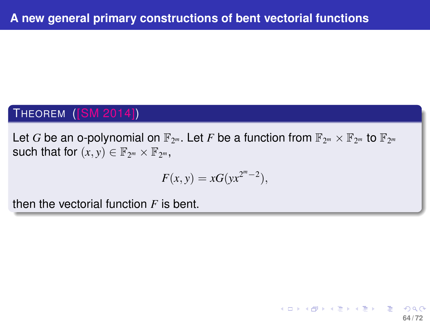# THEOREM ([SM 2014])

Let  $G$  be an o-polynomial on  $\mathbb{F}_{2^m}.$  Let  $F$  be a function from  $\mathbb{F}_{2^m}\times\mathbb{F}_{2^m}$  to  $\mathbb{F}_{2^m}$ such that for  $(x, y) \in \mathbb{F}_{2^m} \times \mathbb{F}_{2^m}$ ,

$$
F(x, y) = xG(yx^{2^m-2}),
$$

<span id="page-63-0"></span>**64 / 72**

イロトメ 御 トメ 君 トメ 君 トー 君

then the vectorial function *F* is bent.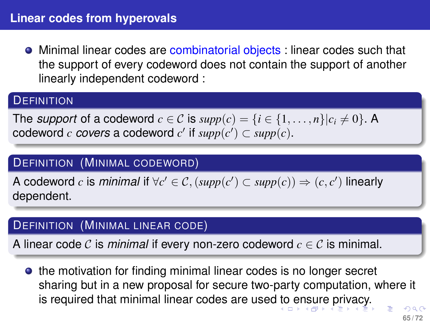**•** Minimal linear codes are combinatorial objects : linear codes such that the support of every codeword does not contain the support of another linearly independent codeword :

#### **DEFINITION**

The *support* of a codeword  $c \in \mathcal{C}$  is  $supp(c) = \{i \in \{1, ..., n\} | c_i \neq 0 \}$ . A codeword *c* covers a codeword *c'* if  $supp(c') \subset supp(c)$ .

#### DEFINITION (MINIMAL CODEWORD)

A codeword *c* is *minimal* if  $\forall c' \in C$ ,  $(supp(c') \subset supp(c)) \Rightarrow (c, c')$  linearly dependent.

#### DEFINITION (MINIMAL LINEAR CODE)

A linear code C is *minimal* if every non-zero codeword  $c \in \mathcal{C}$  is minimal.

<span id="page-64-0"></span>**•** the motivation for finding minimal linear codes is no longer secret sharing but in a new proposal for secure two-party computation, where it is required that minimal linear codes are used [to](#page-63-0) [e](#page-65-0)[n](#page-63-0)[sur](#page-64-0)[e](#page-65-0) [p](#page-0-0)[riv](#page-71-0)[ac](#page-0-0)[y.](#page-71-0)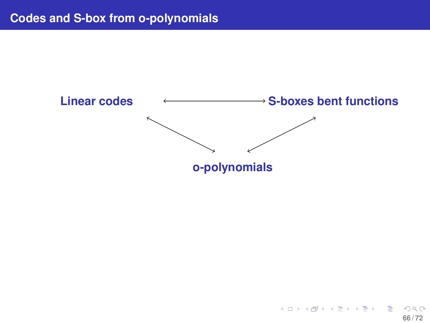

<span id="page-65-0"></span>メロメメ 御きメ 重き メ 重き 一重 **66 / 72**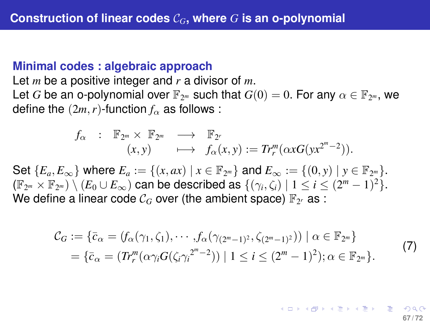#### **Minimal codes : algebraic approach**

Let *m* be a positive integer and *r* a divisor of *m*. Let *G* be an o-polynomial over  $\mathbb{F}_{2^m}$  such that  $G(0) = 0$ . For any  $\alpha \in \mathbb{F}_{2^m}$ , we define the  $(2m, r)$ -function  $f_\alpha$  as follows :

$$
f_{\alpha} \quad : \quad \mathbb{F}_{2^m} \times \mathbb{F}_{2^m} \quad \longrightarrow \quad \mathbb{F}_{2^r} \\
(x,y) \quad \longmapsto \quad f_{\alpha}(x,y) := Tr_r^m(\alpha x G(yx^{2^m-2})).
$$

Set  ${E_a, E_\infty}$  where  $E_a := {(x, ax) | x \in \mathbb{F}_{2^m}}$  and  $E_\infty := {(0, y) | y \in \mathbb{F}_{2^m}}$ .  $(\mathbb{F}_{2^m}\times\mathbb{F}_{2^m})\setminus (E_0\cup E_\infty)$  can be described as  $\{(\gamma_i,\zeta_i)\mid 1\leq i\leq (2^m-1)^2\}.$ We define a linear code  $\mathcal{C}_G$  over (the ambient space)  $\mathbb{F}_{2^r}$  as :

$$
\mathcal{C}_G := \{ \bar{c}_{\alpha} = (f_{\alpha}(\gamma_1, \zeta_1), \cdots, f_{\alpha}(\gamma_{(2^m-1)^2}, \zeta_{(2^m-1)^2})) \mid \alpha \in \mathbb{F}_{2^m} \}
$$
  
= 
$$
\{ \bar{c}_{\alpha} = (Tr_r^m(\alpha \gamma_i G(\zeta_i \gamma_i^{2^m-2})) \mid 1 \le i \le (2^m-1)^2 \}; \alpha \in \mathbb{F}_{2^m} \}.
$$

$$
(7)
$$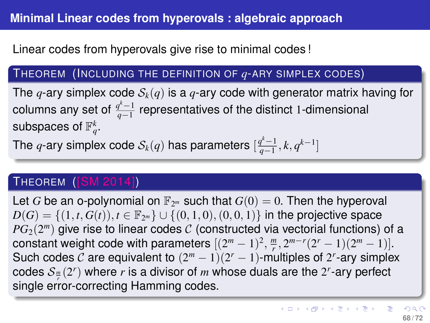Linear codes from hyperovals give rise to minimal codes !

## THEOREM (INCLUDING THE DEFINITION OF *q*-ARY SIMPLEX CODES)

The *q*-ary simplex code  $S_k(q)$  is a *q*-ary code with generator matrix having for columns any set of  $\frac{q^k-1}{q-1}$  representatives of the distinct 1-dimensional subspaces of  $\mathbb{F}_q^k$ .

The  $q$ -ary simplex code  $\mathcal{S}_k(q)$  has parameters  $[\frac{q^k-1}{q-1}, k, q^{k-1}]$ 

## THEOREM ([SM 2014])

Let *G* be an o-polynomial on  $\mathbb{F}_{2^m}$  such that  $G(0) = 0$ . Then the hyperoval  $D(G) = \{(1, t, G(t)), t \in \mathbb{F}_{2^m}\} \cup \{(0, 1, 0), (0, 0, 1)\}$  in the projective space  $PG_2(2^m)$  give rise to linear codes  ${\cal C}$  (constructed via vectorial functions) of a constant weight code with parameters  $[(2^m - 1)^2, \frac{m}{r}, 2^{m-r}(2^r - 1)(2^m - 1)].$ Such codes C are equivalent to  $(2<sup>m</sup> - 1)(2<sup>r</sup> - 1)$ -multiples of 2<sup>*r*</sup>-ary simplex codes  $\mathcal{S}_{\frac{m}{r}}(2^r)$  where  $r$  is a divisor of  $m$  whose duals are the  $2^r$ -ary perfect single error-correcting Hamming codes.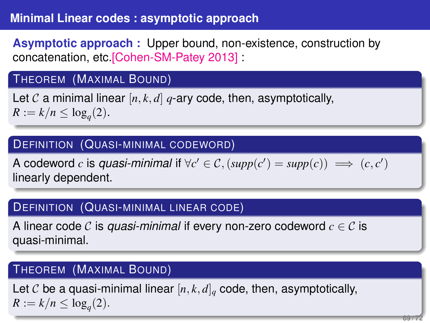# **Minimal Linear codes : asymptotic approach**

**Asymptotic approach :** Upper bound, non-existence, construction by concatenation, etc.[Cohen-SM-Patey 2013] :

#### THEOREM (MAXIMAL BOUND)

Let  $\mathcal C$  a minimal linear  $[n, k, d]$   $q$ -ary code, then, asymptotically,  $R := k/n \leq \log_q(2)$ .

#### DEFINITION (QUASI-MINIMAL CODEWORD)

A codeword *c* is *quasi-minimal* if  $\forall c' \in C$ ,  $(supp(c') = supp(c)) \implies (c, c')$ linearly dependent.

#### DEFINITION (QUASI-MINIMAL LINEAR CODE)

A linear code C is *quasi-minimal* if every non-zero codeword *c* ∈ C is quasi-minimal.

#### THEOREM (MAXIMAL BOUND)

Let C be a quasi-minimal linear  $[n, k, d]$ <sub>*q*</sub> code, then, asymptotically,  $R := k/n \leq \log_q(2)$ .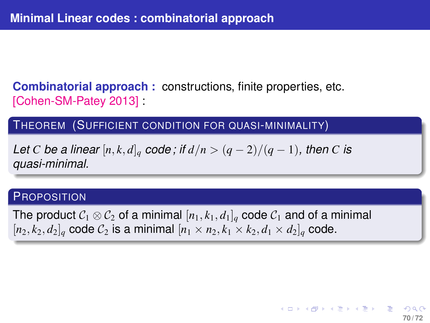**Combinatorial approach :** constructions, finite properties, etc. [Cohen-SM-Patey 2013]

THEOREM (SUFFICIENT CONDITION FOR QUASI-MINIMALITY)

*Let C be a linear*  $[n, k, d]_q$  *code*; if  $d/n > (q - 2)/(q - 1)$ , then *C* is *quasi-minimal.*

#### **PROPOSITION**

The product  $C_1 \otimes C_2$  of a minimal  $[n_1, k_1, d_1]_q$  code  $C_1$  and of a minimal  $[n_2, k_2, d_2]_q$  code  $C_2$  is a minimal  $[n_1 \times n_2, k_1 \times k_2, d_1 \times d_2]_q$  code.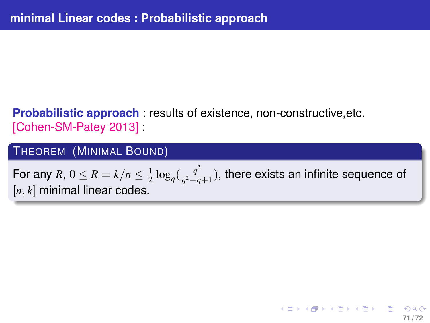# **Probabilistic approach** : results of existence, non-constructive,etc. [Cohen-SM-Patey 2013] :

## THEOREM (MINIMAL BOUND)

For any  $R$ ,  $0 \leq R = k/n \leq \frac{1}{2} \log_q (\frac{q^2}{q^2-q})$ *q* <sup>2</sup>−*q*+1 ), there exists an infinite sequence of [*n*, *k*] minimal linear codes.